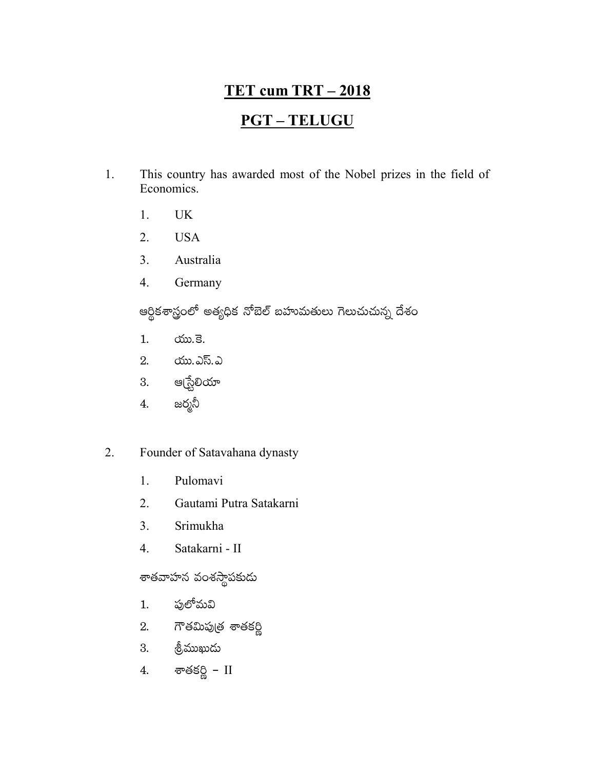# **TET cum TRT - 2018**

# **PGT-TELUGU**

- $1.$ This country has awarded most of the Nobel prizes in the field of Economics.
	- $1<sup>1</sup>$ **UK**
	- **USA** 2.
	- 3. Australia
	- $\overline{4}$ . Germany

ఆర్థికశాస్త్రంలో అత్యధిక నోబెల్ బహుమతులు గెలుచుచున్న దేశం

- රා. මි.  $1.$
- యు.ఎస్.ఎ 2.
- 3. ఆ(స్టేలియా
- జర్మనీ 4.

#### 2. Founder of Satavahana dynasty

- 1. Pulomavi
- $\overline{2}$ . Gautami Putra Satakarni
- $3<sub>1</sub>$ Srimukha
- Satakarni II  $\overline{4}$ .

శాతవాహన వంశస్థ<mark>ా</mark>పకుడు

- పులోమవి 1.
- 2. గౌతమిపుత్ర శాతకర్ణి
- త్రీముఖుడు 3.
- శాతకర్ణి  $\scriptstyle\rm II$ 4.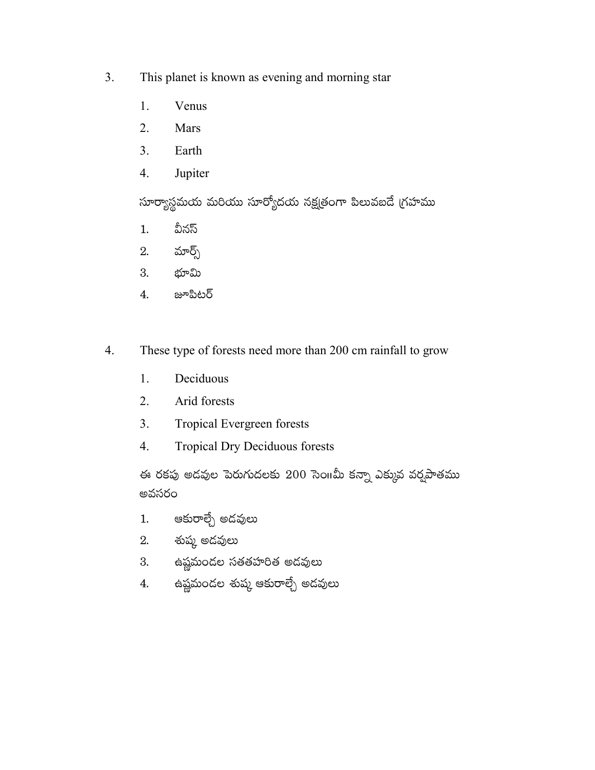- $3.$ This planet is known as evening and morning star
	- 1. Venus
	- $2.$ Mars
	- $3<sub>1</sub>$ Earth
	- Jupiter  $4.$

సూర్యాస్థమయ మరియు సూర్యోదయ నక్షత్రంగా పిలువబదే గ్రహము

- వీనస్  $1.$
- మార్గ్స్ 2.
- 3. భూమి
- జూపిటర్ 4.
- These type of forests need more than 200 cm rainfall to grow  $4.$ 
	- 1. Deciduous
	- $2.$ Arid forests
	- $3<sub>1</sub>$ Tropical Evergreen forests
	- $\overline{4}$ . **Tropical Dry Deciduous forests**

ఈ రకపు అడవుల పెరుగుదలకు 200 సెంπమీ కన్నా ఎక్కువ వర్షపాతము అవసరం

- ఆకురాల్చే అదవులు  $1.$
- 2. శుష్మ అదవులు
- 3. ఉష్ణమందల సతతహరిత అదవులు
- ఉష్ణమందల శుష్మ ఆకురాల్చే అదవులు 4.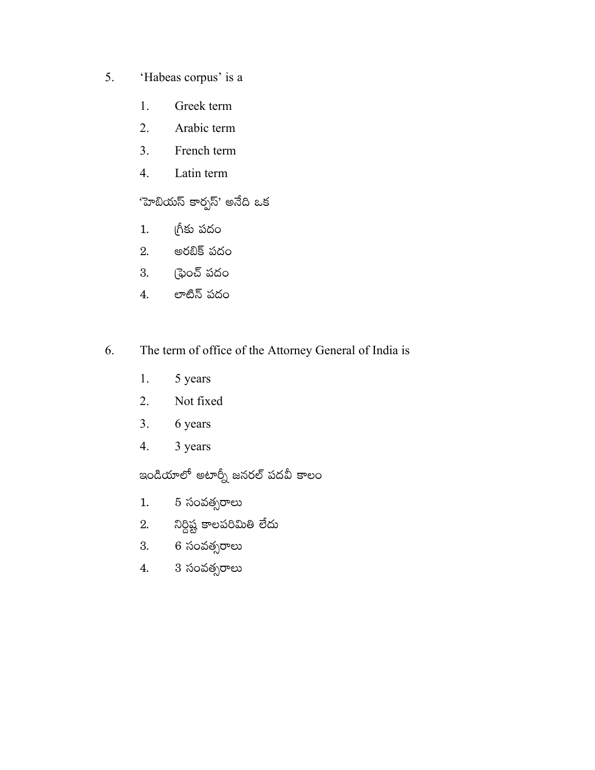- 5. 'Habeas corpus' is a
	- 1. Greek term
	- Arabic term  $2.$
	- $3<sub>1</sub>$ French term
	- Latin term  $4.$

# 'హెబియస్ కార్పస్' అనేది ఒక

- గ్రీకు పదం  $1.$
- అరబిక్ పదం 2.
- (ఫైంచ్ పదం 3.
- లాటిన్ పదం  $\overline{4}$ .
- 6. The term of office of the Attorney General of India is
	- 5 years 1.
	- $2.$ Not fixed
	- $3<sub>1</sub>$ 6 years
	- $\overline{4}$ . 3 years

ఇండియాలో అటార్నీ జనరల్ పదవీ కాలం

- 5 సంవత్సరాలు  $1.$
- నిర్దిష్ట కాలపరిమితి లేదు 2.
- 6 సంవత్సరాలు 3.
- 3 సంవత్సరాలు  $\overline{4}$ .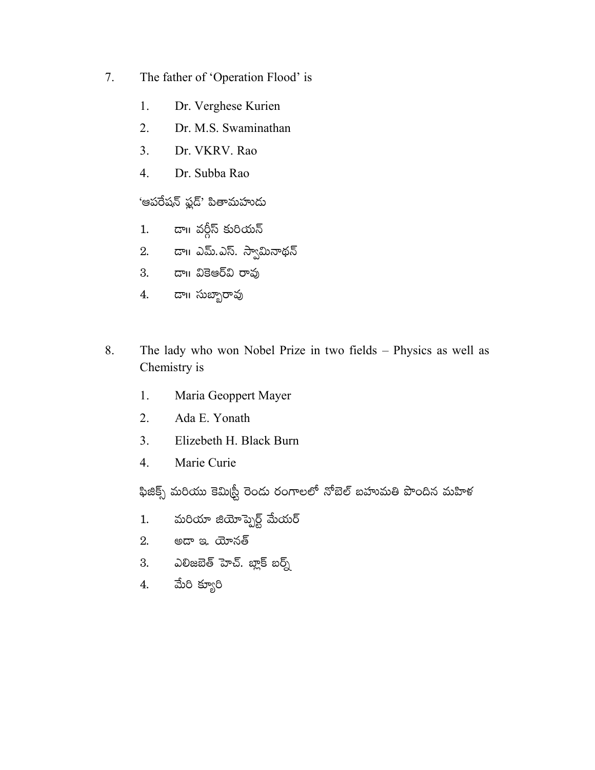- 7. The father of 'Operation Flood' is
	- 1. Dr. Verghese Kurien
	- $2.$ Dr. M.S. Swaminathan
	- $\overline{3}$ . Dr. VKRV. Rao
	- $\overline{4}$ . Dr. Subba Rao

### 'ఆపరేషన్ ఫ్లడ్' పితామహుదు

- డా॥ వర్గీస్ కురియన్  $1.$
- 2. డా။ ఎమ్.ఎస్. స్వామినాథన్
- 3. డా။ వికెఆర్వి రావు
- డా౹౹ సుబ్బారావు 4.
- The lady who won Nobel Prize in two fields Physics as well as 8. Chemistry is
	- 1. Maria Geoppert Mayer
	- $2.$ Ada E. Yonath
	- $3<sub>1</sub>$ Elizebeth H. Black Burn
	- $4.$ Marie Curie

ఫిజిక్స్ మరియు కెమిర్ట్రీ రెండు రంగాలలో నోబెల్ బహుమతి పొందిన మహిళ

- మరియా జియోప్బెర్ట్ మేయర్  $1.$
- 2. అదా ఇ. యోనత్
- ఎలిజబెత్ హెచ్. బ్లాక్ బర్న్ 3.
- మేరి క్యూరి 4.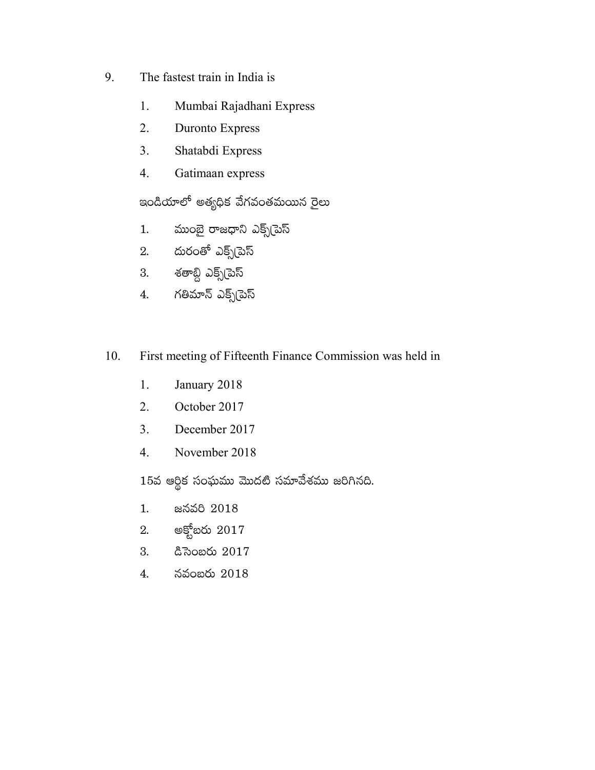- 9. The fastest train in India is
	- 1. Mumbai Rajadhani Express
	- 2. Duronto Express
	- 3. Shatabdi Express
	- 4. Gatimaan express

ఇండియాలో అత్యధిక వేగవంతమయిన రైలు

- 1. ముంబై రాజధాని ఎక్స్ట్ఎస్
- 2. దురంతో ఎక్స్(పెస్
- 3. శతాబ్ది ఎక్స్**[పె**స్
- 4. గతిమాన్ ఎక్స్(పెస్
- 10. First meeting of Fifteenth Finance Commission was held in
	- 1. January 2018
	- 2. October 2017
	- 3. December 2017
	- 4. November 2018

 $15$ వ ఆర్థిక సంఘము మొదటి సమావేశము జరిగినది.

- 1. జనవరి 2018
- $2.$  అక్టోబరు  $2017$
- 3. &ිබිංසර් 2017
- 4. నవంబరు 2018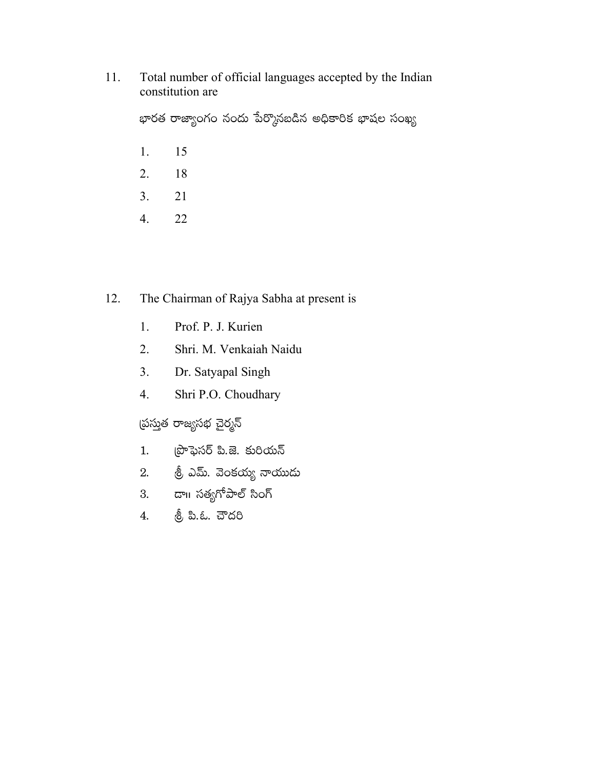Total number of official languages accepted by the Indian 11. constitution are

భారత రాజ్యాంగం నందు పేర్కొనబడిన అధికారిక భాషల సంఖ్య

- $1.$ 15
- 18 2.
- 21  $3.$
- $4.$ 22

#### The Chairman of Rajya Sabha at present is 12.

- 1. Prof. P. J. Kurien
- $2.$ Shri. M. Venkaiah Naidu
- Dr. Satyapal Singh  $3.$
- 4. Shri P.O. Choudhary

వ<mark>్ర</mark>స్తుత రాజ్యసభ చైర్మన్

- ప్రొఫెసర్ పి.జె. కురియన్  $1.$
- 
- 3. డా॥ సతృగోపాల్ సింగ్
- త్రీ పి.ఓ. చౌదరి  $4.$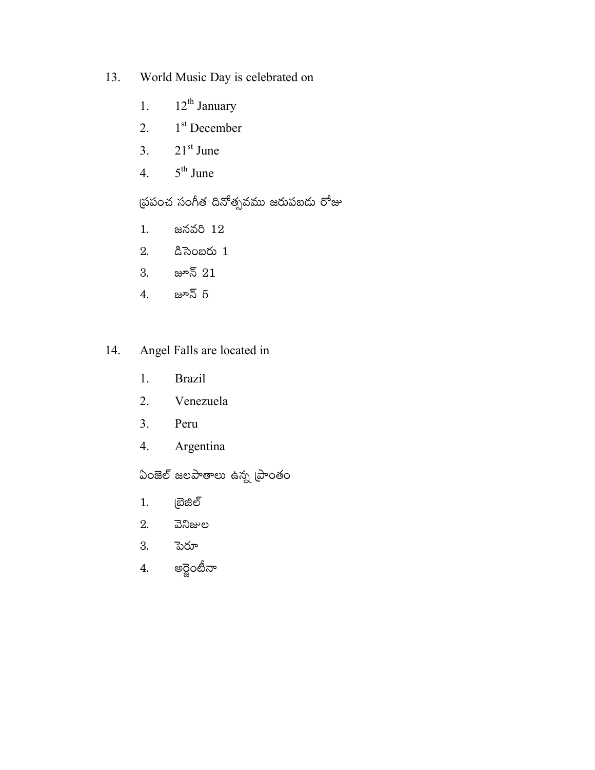- World Music Day is celebrated on 13.
	- $12^{\text{th}}$ January  $1.$
	- 1<sup>st</sup> December  $2.$
	- $21<sup>st</sup>$  June  $\overline{3}$ .
	- $5^{\text{th}}$  June  $4.$

ద్రపంచ సంగీత దినోత్సవము జరుపబదు రోజు

- జనవరి 12  $1.$
- $\alpha$  సెంబరు 1 2.
- జూన్  $21$ 3.
- జూన్ 5  $4.$
- Angel Falls are located in 14.
	- **Brazil** 1.
	- Venezuela  $2.$
	- $3<sub>1</sub>$ Peru
	- $\overline{4}$ . Argentina

ఏంజెల్ జలపాతాలు ఉన్న (పాంతం

- $1.$ (బెజిల్
- 2. వెనిజుల
- 3. పెరూ
- అర్జెంటీనా  $\overline{4}$ .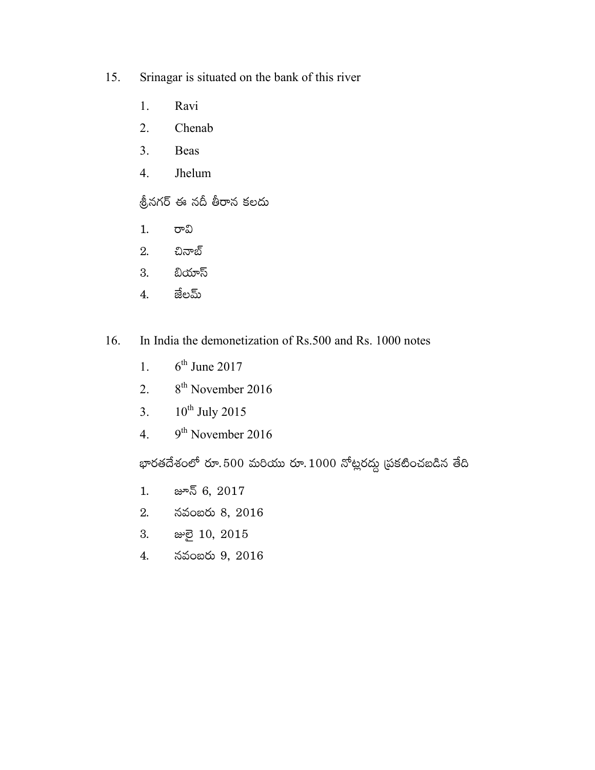- 15. Srinagar is situated on the bank of this river
	- 1. Ravi
	- Chenab  $2.$
	- $3<sub>1</sub>$ **Beas**
	- $4.$ Jhelum

శ్రీనగర్ ఈ నదీ తీరాన కలదు

- $1.$ రావి
- చినాబ్ 2.
- బియాస్ 3.
- జేలమ్  $\overline{4}$ .
- 16. In India the demonetization of Rs.500 and Rs. 1000 notes
	- $6<sup>th</sup>$  June 2017  $1<sup>1</sup>$
	- 8<sup>th</sup> November 2016  $2.$
	- $10^{th}$  July 2015  $3.$
	- 9<sup>th</sup> November 2016  $\overline{4}$ .

భారతదేశంలో రూ.500 మరియు రూ. $1000$  నోట్లరద్దు (పకటించబడిన తేది

- జూన్ 6, 2017  $1.$
- నవంబరు 8, 2016 2.
- 3. æමු 10, 2015
- నవంబరు 9, 2016  $4.$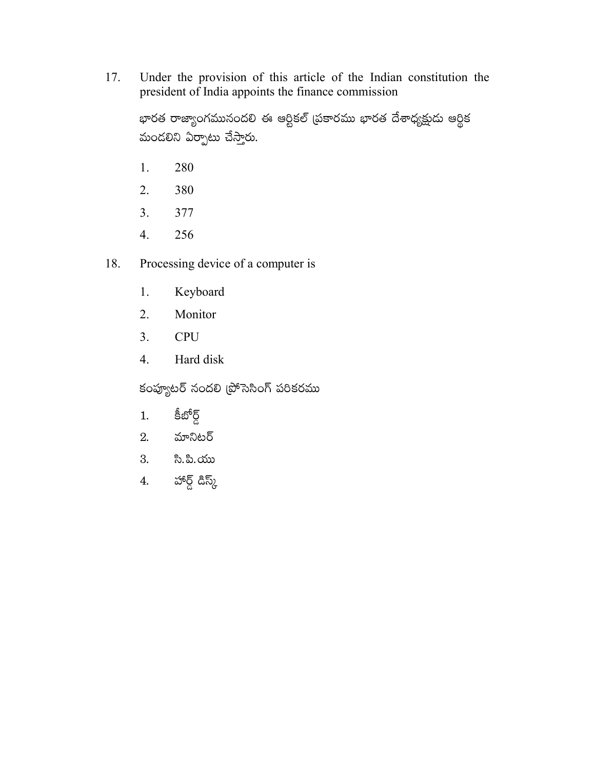Under the provision of this article of the Indian constitution the 17. president of India appoints the finance commission

భారత రాజ్యాంగమునందలి ఈ ఆర్టికల్ (పకారము భారత దేశాధ్యక్షుదు ఆర్థిక మండలిని ఏర్పాటు చేస్తారు.

- 280 1.
- 380  $2.$
- $3<sub>1</sub>$ 377
- 4. 256
- 18. Processing device of a computer is
	- Keyboard 1.
	- 2. Monitor
	- $3<sub>1</sub>$ **CPU**
	- Hard disk  $4.$

కంప్యూటర్ నందలి (పోసెసింగ్ పరికరము

- కీబోర్డ్ 1.
- మానిటర్ 2.
- సి.పి.యు 3.
- హార్డ్ డిస్క్  $\overline{4}$ .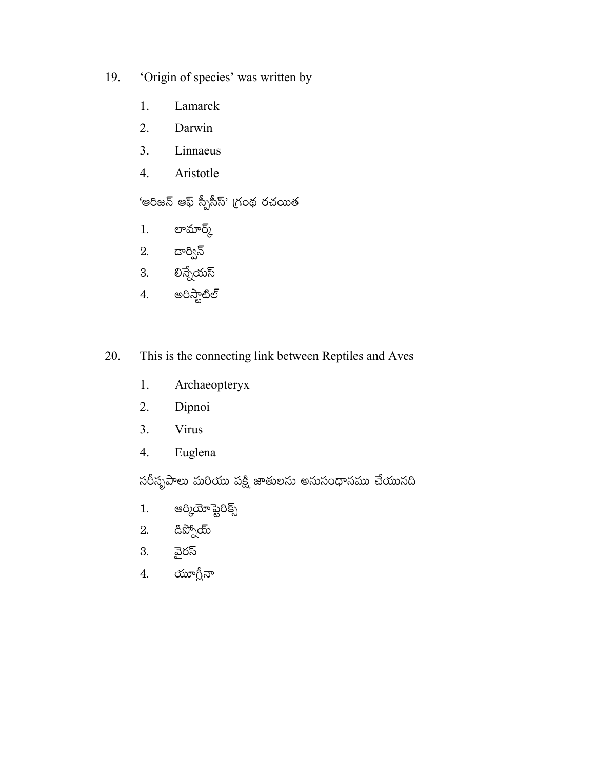- 'Origin of species' was written by 19.
	- Lamarck 1.
	- $2.$ Darwin
	- $3<sub>1</sub>$ Linnaeus
	- 4. Aristotle

'ఆరిజన్ ఆఫ్ స్పీసీస్' గ్రంథ రచయిత

- లామార్క్  $1.$
- 2. డార్విన్
- 3. లిన్నేయస్
- అరిస్టాటిల్ 4.
- 20. This is the connecting link between Reptiles and Aves
	- Archaeopteryx 1.
	- $2.$ Dipnoi
	- Virus  $3<sub>1</sub>$
	- Euglena 4.

సరీసృపాలు మరియు పక్షి జాతులను అనుసంధానము చేయునది

- ఆర్కియోప్టెరిక్స్  $1.$
- డిప్నోయ్ 2.
- వైరస్ 3.
- యూగ్లీనా  $\overline{4}$ .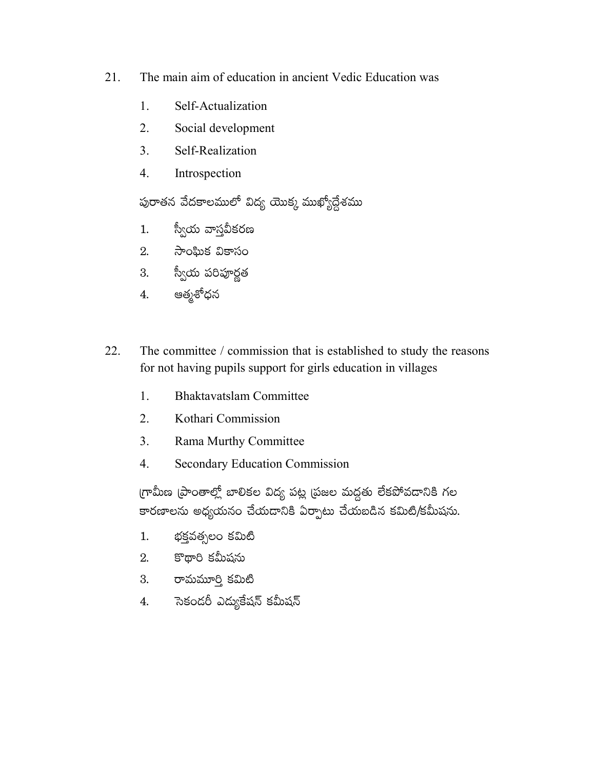- 21. The main aim of education in ancient Vedic Education was
	- 1. Self-Actualization
	- $2<sub>1</sub>$ Social development
	- $\overline{3}$ . Self-Realization
	- $\overline{4}$ . Introspection

పురాతన వేదకాలములో విద్య యొక్క ముఖ్యోద్దేశము

- స్వీయ వాస్తవీకరణ  $1.$
- 2. సాంఘిక వికాసం
- 3. స్వీయ పరిపూర్ణత
- ఆత్మశోధన  $4.$
- 22. The committee / commission that is established to study the reasons for not having pupils support for girls education in villages
	- 1. **Bhaktavatslam Committee**
	- $2<sup>1</sup>$ Kothari Commission
	- $3<sub>1</sub>$ Rama Murthy Committee
	- $\overline{4}$ . **Secondary Education Commission**

గ్రామీణ (పాంతాల్లో బాలికల విద్య పట్ల (పజల మద్దతు లేకపోవదానికి గల కారణాలను అధ్యయనం చేయడానికి ఏర్పాటు చేయబడిన కమిటి/కమీషను.

- భక్తవత్సలం కమిటి  $1.$
- $2.$  కొథారి కమీషను
- 3. రామమూర్తి కమిటీ
- 4. సెకందరీ ఎద్యుకేషన్ కమీషన్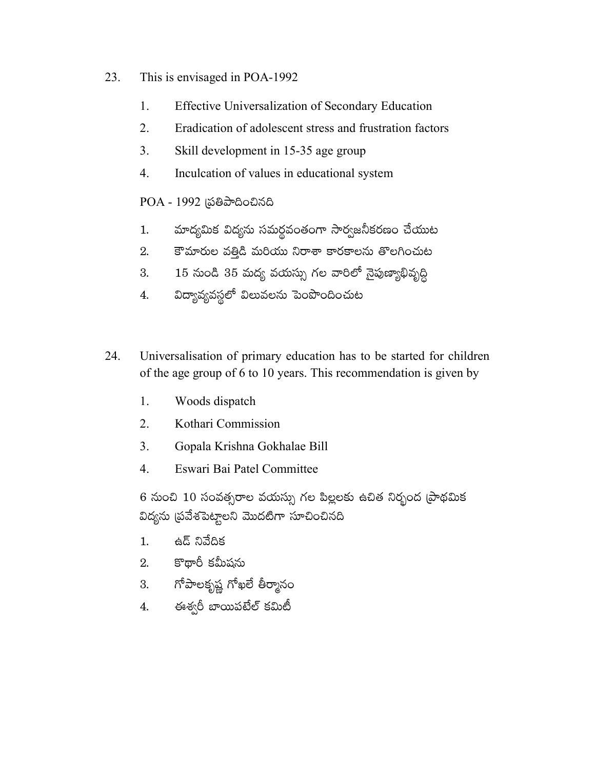- 23. This is envisaged in POA-1992
	- 1. Effective Universalization of Secondary Education
	- $2<sub>1</sub>$ Eradication of adolescent stress and frustration factors
	- $\overline{3}$ . Skill development in 15-35 age group
	- $\overline{4}$ . Inculcation of values in educational system

### POA - 1992 (పతిపాదించినది

- మాద్యమిక విద్యను సమర్థవంతంగా సార్వజనీకరణం చేయుట 1.
- కౌమారుల వత్తిడి మరియు నిరాశా కారకాలను తొలగించుట  $2.$
- 15 నుండి 35 మద్య వయస్సు గల వారిలో నైపుణ్యాభివృద్ధి 3.
- విద్యావ్యవస్థలో విలువలను పెంపొందించుట 4.
- 24. Universalisation of primary education has to be started for children of the age group of 6 to 10 years. This recommendation is given by
	- 1. Woods dispatch
	- $2<sup>1</sup>$ Kothari Commission
	- $3<sub>1</sub>$ Gopala Krishna Gokhalae Bill
	- $\overline{4}$ . Eswari Bai Patel Committee

6 నుంచి 10 సంవత్సరాల వయస్సు గల పిల్లలకు ఉచిత నిర్భంద (పాథమిక విద్యను (పవేశపెట్టాలని మొదటిగా సూచించినది

- ఉద్ నివేదిక  $1.$
- కొథారీ కమీషను 2.
- గోపాలకృష్ణ గోఖలే తీర్మానం 3.
- ఈశ్వరీ బాయిపటేల్ కమిటీ 4.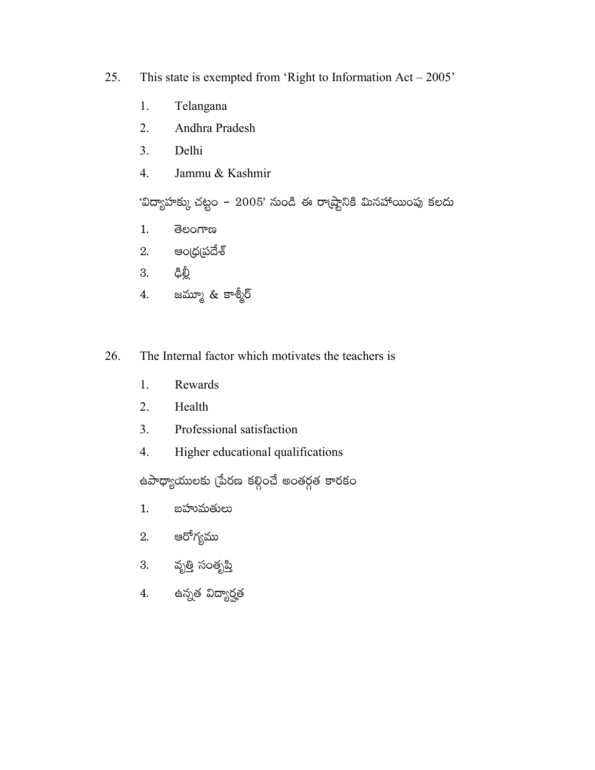- 25. This state is exempted from 'Right to Information  $Act - 2005$ '
	- Telangana 1.
	- $2.$ Andhra Pradesh
	- $3<sub>1</sub>$ Delhi
	- Jammu & Kashmir 4.

'విద్యాహక్కు చట్టం – 2005' నుండి ఈ రా(ష్టానికి మినహాాయింపు కలదు

- ತಿಲಂಗಾಣ  $1.$
- ఆం(ధ(పదేశ్ 2.
- ಥಿತ್ರಿ 3.
- జమ్మూ & కాశ్మీర్  $4.$
- The Internal factor which motivates the teachers is 26.
	- 1. Rewards
	- $2.$ Health
	- $3<sub>1</sub>$ Professional satisfaction
	- Higher educational qualifications 4.

ఉపాధ్యాయులకు (పేరణ కల్గించే అంతర్గత కారకం

- $1.$ బహుమతులు
- ఆరోగ్యము 2.
- 3. వృత్తి సంతృప్తి
- 4. ఉన్నత విద్యార్హత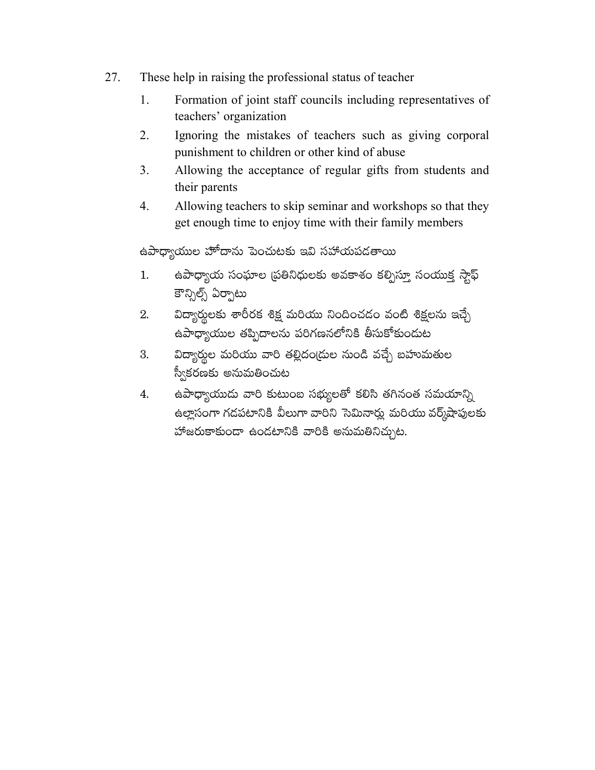- 27. These help in raising the professional status of teacher
	- Formation of joint staff councils including representatives of 1. teachers' organization
	- $\overline{2}$ . Ignoring the mistakes of teachers such as giving corporal punishment to children or other kind of abuse
	- 3. Allowing the acceptance of regular gifts from students and their parents
	- $4.$ Allowing teachers to skip seminar and workshops so that they get enough time to enjoy time with their family members

ఉపాధ్యాయుల హోదాను పెంచుటకు ఇవి సహాయపడతాయి

- ఉపాధ్యాయ సంఘాల (పతినిధులకు అవకాశం కల్పిస్తూ సంయుక్త స్టాఫ్ 1. కౌన్నిల్స్ ఏర్పాటు
- విద్యార్శలకు శారీరక శిక్ష మరియు నిందించడం వంటి శిక్షలను ఇచ్చే 2. ఉపాధ్యాయుల తప్పిదాలను పరిగణనలోనికి తీసుకోకుందుట
- విద్యార్థుల మరియు వారి తల్లిదం(దుల నుండి వచ్చే బహుమతుల 3. స్వీకరణకు అనుమతించుట
- ఉపాధ్యాయుడు వారి కుటుంబ సభ్యులతో కలిసి తగినంత సమయాన్ని 4. ఉల్లాసంగా గడపటానికి వీలుగా వారిని సెమినార్లు మరియు వర్క్షేషాపులకు హాజరుకాకుండా ఉండటానికి వారికి అనుమతినిచ్చుట.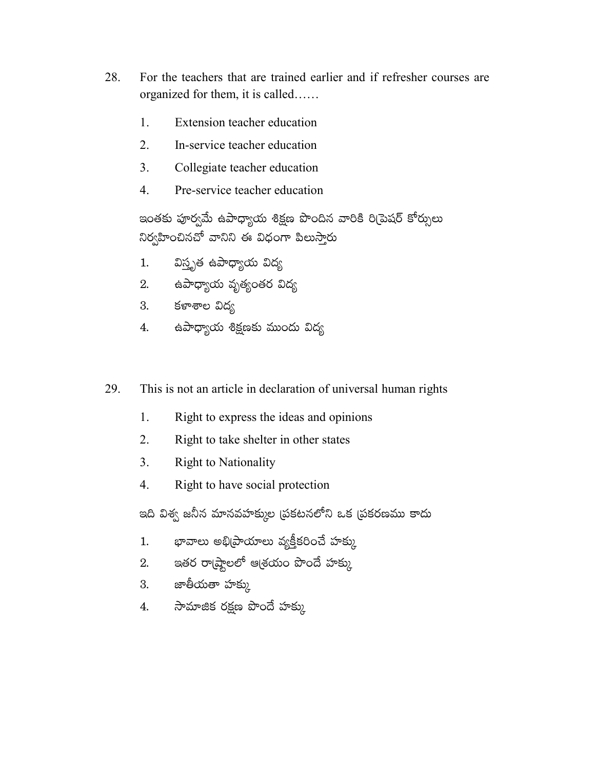- 28. For the teachers that are trained earlier and if refresher courses are organized for them, it is called......
	- $1_{-}$ Extension teacher education
	- $2.$ In-service teacher education
	- Collegiate teacher education 3.
	- $\overline{4}$ Pre-service teacher education

ఇంతకు పూర్వమే ఉపాధ్యాయ శిక్షణ పొందిన వారికి రి(పెషర్ కోర్సులు నిర్వహించినచో వానిని ఈ విధంగా పిలుస్తారు

- విస్తృత ఉపాధ్యాయ విద్య  $1.$
- 2. ఉపాధ్యాయ వృత్యంతర విద్య
- కళాశాల విద్వ 3.
- ఉపాధ్యాయ శిక్షణకు ముందు విద్య 4.
- This is not an article in declaration of universal human rights 29.
	- 1. Right to express the ideas and opinions
	- $\overline{2}$ . Right to take shelter in other states
	- 3. **Right to Nationality**
	- Right to have social protection  $\overline{4}$ .

ఇది విశ్వ జనీన మానవహక్కుల (పకటనలోని ఒక (పకరణము కాదు

- భావాలు అభి(పాయాలు వ్యక్తీకరించే హక్కు  $1.$
- ఇతర రాఁష్టాలలో ఆశ్రయం పొందే హక్కు 2.
- జాతీయతా హక్కు  $3.$
- సామాజిక రక్షణ పొందే హక్కు 4.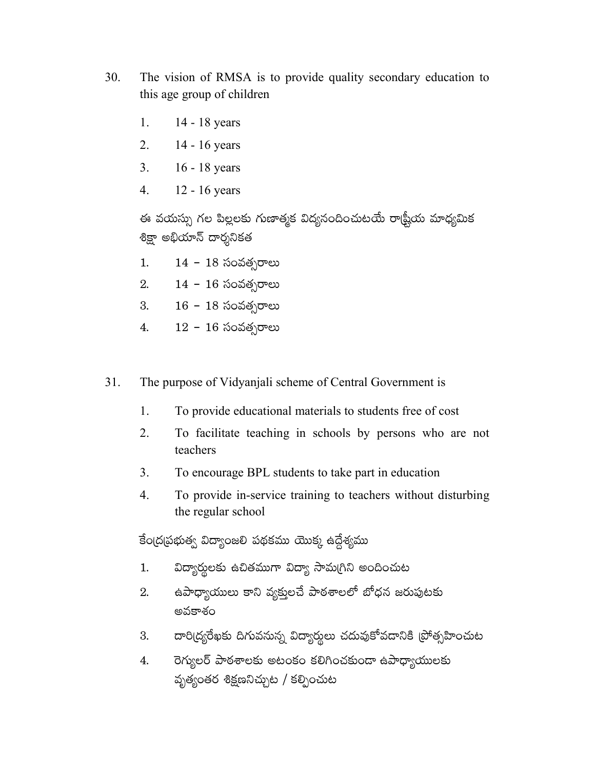- 30. The vision of RMSA is to provide quality secondary education to this age group of children
	- 1. 14 - 18 years
	- $2.$ 14 - 16 years
	- 3. 16 - 18 years
	- $\overline{4}$ .  $12 - 16$  years

ఈ వయస్సు గల పిల్లలకు గుణాత్మక విద్యనందించుటయే రాట్ష్రీయ మాధ్యమిక శిక్షా అభియాన్ దార్శనికత

 $14 - 18$  సంవత్సరాలు  $1.$ 

- $14 16$  సంవత్సరాలు 2.
- $16 18$  సంవత్సరాలు 3.
- $12 16$  సంవత్సరాలు 4.
- 31. The purpose of Vidyanjali scheme of Central Government is
	- $1.$ To provide educational materials to students free of cost
	- $2.$ To facilitate teaching in schools by persons who are not teachers
	- $3<sub>1</sub>$ To encourage BPL students to take part in education
	- $\overline{4}$ . To provide in-service training to teachers without disturbing the regular school

కేంద్రప్రభుత్వ విద్యాంజలి పథకము యొక్క ఉద్దేశ్యము

- విద్యార్థులకు ఉచితముగా విద్యా సామగ్రిని అందించుట  $1.$
- ఉపాధ్యాయులు కాని వ్యక్తులచే పాఠశాలలో బోధన జరుపుటకు 2. అవకాశం
- దారి(ద్యరేఖకు దిగువనున్న విద్యార్థులు చదువుకోవడానికి (పోత్సహించుట 3.
- రెగ్యులర్ పాఠశాలకు అటంకం కలిగించకుండా ఉపాధ్యాయులకు 4. వృత్యంతర శిక్షణనిచ్చుట / కల్పించుట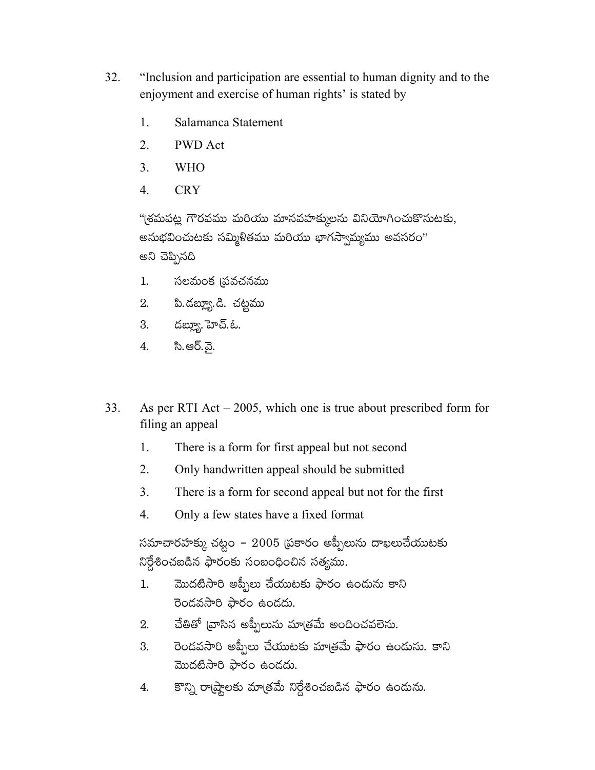- 32. "Inclusion and participation are essential to human dignity and to the enjoyment and exercise of human rights' is stated by
	- $\mathbf{1}$ . Salamanca Statement
	- $\overline{2}$ . **PWD** Act
	- 3. **WHO**
	- $\overline{4}$ . **CRY**

"(శమపట్ల గౌరవము మరియు మానవహక్కులను వినియోగించుకొనుటకు, అనుభవించుటకు సమ్మిళితము మరియు భాగస్వామ్యము అవసరం" అని చెప్పినది

- సలమంక (పవచనము  $1.$
- పి. దబ్య్యూ. డి. చట్టము 2.
- 3. దబ్యూ. హెచ్.ఓ.
- సి.ఆర్.వై. 4.
- 33. As per RTI Act  $-2005$ , which one is true about prescribed form for filing an appeal
	- $1_{\cdot}$ There is a form for first appeal but not second
	- 2. Only handwritten appeal should be submitted
	- $3<sub>1</sub>$ There is a form for second appeal but not for the first
	- $\overline{4}$ . Only a few states have a fixed format

సమాచారహక్కు చట్టం – 2005 (పకారం అప్పీలును దాఖలుచేయుటకు నిర్దేశించబడిన ఫారంకు సంబంధించిన సత్యము.

- మొదటిసారి అప్పీలు చేయుటకు ఫారం ఉందును కాని  $1.$ రెండవసారి ఫారం ఉండదు.
- చేతితో (వాసిన అప్పీలును మా(తమే అందించవలెను. 2.
- రెండవసారి అప్పీలు చేయుటకు మాత్రమే ఫారం ఉందును. కాని 3. మొదటిసారి ఫారం ఉండదు.
- కొన్ని రా(ష్టాలకు మా(తమే నిర్దేశించబడిన ఫారం ఉందును. 4.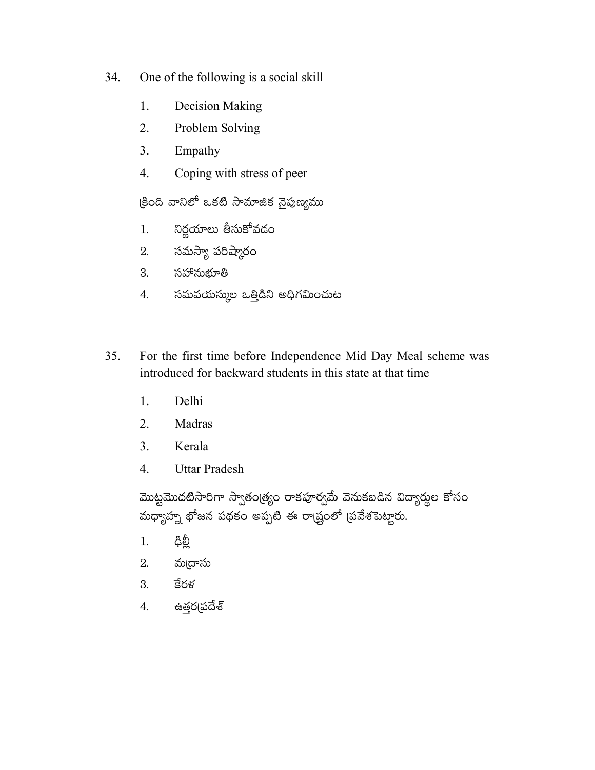- 34. One of the following is a social skill
	- 1. **Decision Making**
	- $2.$ Problem Solving
	- $\overline{3}$ . Empathy
	- Coping with stress of peer  $\overline{4}$ .

క్రింది వానిలో ఒకటి సామాజిక నైపుణ్యము

- నిర్ణయాలు తీసుకోవదం  $1.$
- 2. సమస్యా పరిష్మారం
- సహానుభూతి 3.
- సమవయస్కుల ఒత్తిడిని అధిగమించుట 4.
- For the first time before Independence Mid Day Meal scheme was 35. introduced for backward students in this state at that time
	- 1. Delhi
	- $\overline{2}$ . Madras
	- $3<sub>1</sub>$ Kerala
	- $\overline{4}$ . **Uttar Pradesh**

మొట్టమొదటిసారిగా స్వాతం(త్యం రాకపూర్వమే వెనుకబడిన విద్యార్థుల కోసం మధ్యాహ్న భోజన పథకం అప్పటి ఈ రాష్ట్రంలో (పవేశపెట్టారు.

- ఢిల్లీ  $1.$
- 2. మ్మదాసు
- కేరళ 3.
- ఉత్తర్నపదేశ్ 4.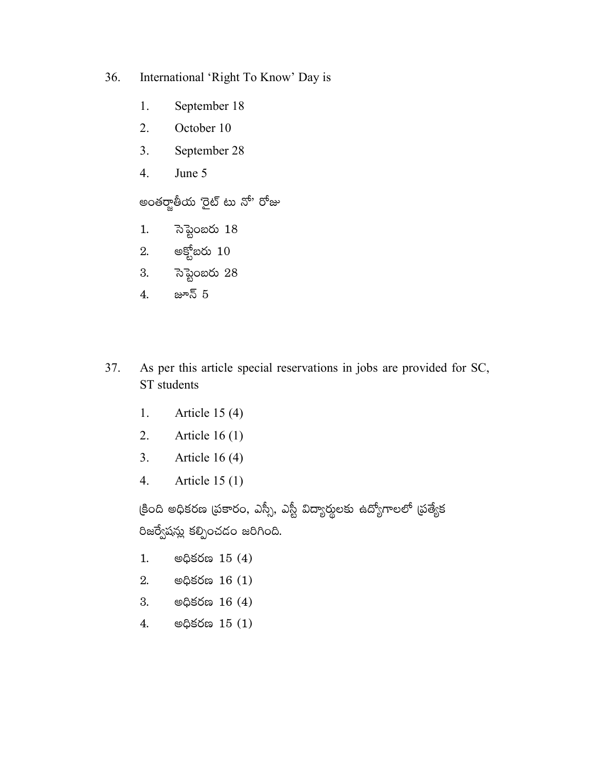- 36. International 'Right To Know' Day is
	- 1. September 18
	- $2.$ October 10
	- $3<sub>1</sub>$ September 28
	- June 5  $4.$

అంతర్జాతీయ 'రైట్ టు నో' రోజు

- సెప్టెంబరు 18  $1.$
- 2. అక్టోబరు  $10$
- సెప్టెంబరు 28 3.
- జూన్ 5  $4.$
- As per this article special reservations in jobs are provided for SC, 37. ST students
	- Article 15 (4) 1.
	- $2.$ Article  $16(1)$
	- Article  $16(4)$  $3.$
	- Article  $15(1)$ 4.

క్రింది అధికరణ (పకారం, ఎస్సీ, ఎస్టీ విద్యార్థులకు ఉద్యోగాలలో (పత్యేక రిజర్వేషన్లు కల్పించడం జరిగింది.

- **ම**ಧಿకరణ 15 (4) 1.
- **ම**ಧಿకరణ 16 (1) 2.
- **ම**ಧಿకరణ 16 (4) 3.
- මධ්ඡරික  $15(1)$ 4.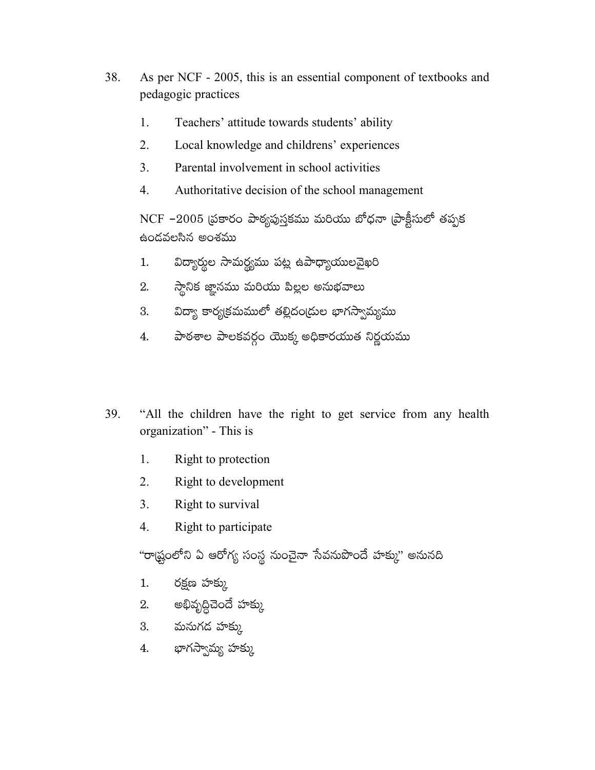- 38. As per NCF - 2005, this is an essential component of textbooks and pedagogic practices
	- $1_{-}$ Teachers' attitude towards students' ability
	- $2.$ Local knowledge and childrens' experiences
	- 3. Parental involvement in school activities
	- $\overline{4}$ . Authoritative decision of the school management

NCF -2005 (పకారం పాఠ్యపుస్తకము మరియు బోధనా (పాక్టీసులో తప్పక ఉందవలసిన అంశము

- విద్యార్థుల సామర్థ్యము పట్ల ఉపాధ్యాయులవైఖరి  $1.$
- స్థానిక జ్ఞానము మరియు పిల్లల అనుభవాలు 2.
- 3. విద్యా కార్యక్రమములో తల్లిదం(దుల భాగస్వామ్యము
- పాఠశాల పాలకవర్గం యొక్క అధికారయుత నిర్ణయము 4.
- 39. "All the children have the right to get service from any health organization" - This is
	- 1. Right to protection
	- $2.$ Right to development
	- $3<sub>1</sub>$ Right to survival
	- $\overline{4}$ . Right to participate

"రాష్ట్రంలోని ఏ ఆరోగ్య సంస్థ నుంచైనా సేవనుపొందే హక్కు" అనునది

- రక్షణ హక్కు  $1.$
- 2. అభివృద్ధిచెందే హక్కు
- 3. మనుగడ హక్కు
- 4. భాగస్వామ్య హక్కు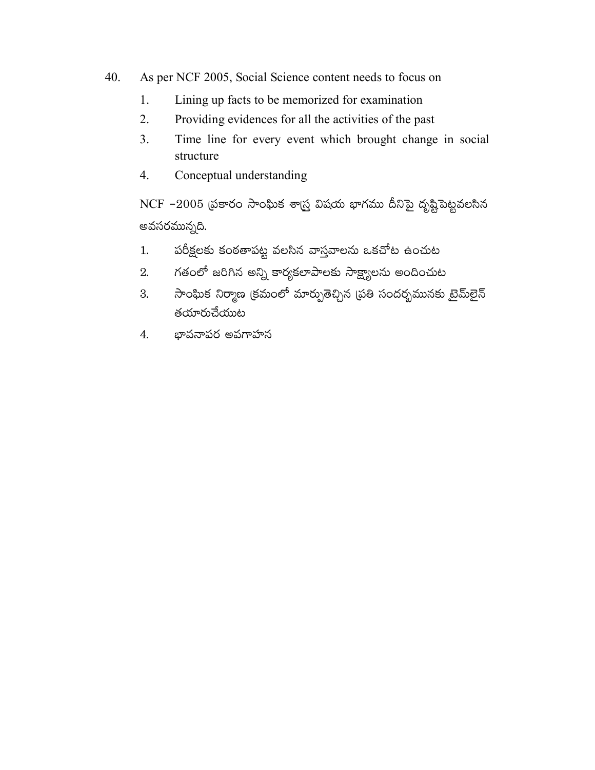- 40. As per NCF 2005, Social Science content needs to focus on
	- Lining up facts to be memorized for examination 1.
	- $2.$ Providing evidences for all the activities of the past
	- $3<sub>1</sub>$ Time line for every event which brought change in social structure
	- $\overline{4}$ . Conceptual understanding

NCF -2005 (పకారం సాంఘిక శాస్త్ర విషయ భాగము దీనిపై దృష్టిపెట్టవలసిన అవసరమున్నది.

- పరీక్షలకు కంఠతాపట్ట వలసిన వాస్తవాలను ఒకచోట ఉంచుట  $1.$
- గతంలో జరిగిన అన్ని కార్యకలాపాలకు సాక్ష్యాలను అందించుట 2.
- సాంఘిక నిర్మాణ క్రమంలో మార్పుతెచ్చిన (పతి సందర్భమునకు టైమ్లైన్ 3. తయారుచేయుట
- భావనాపర అవగాహన 4.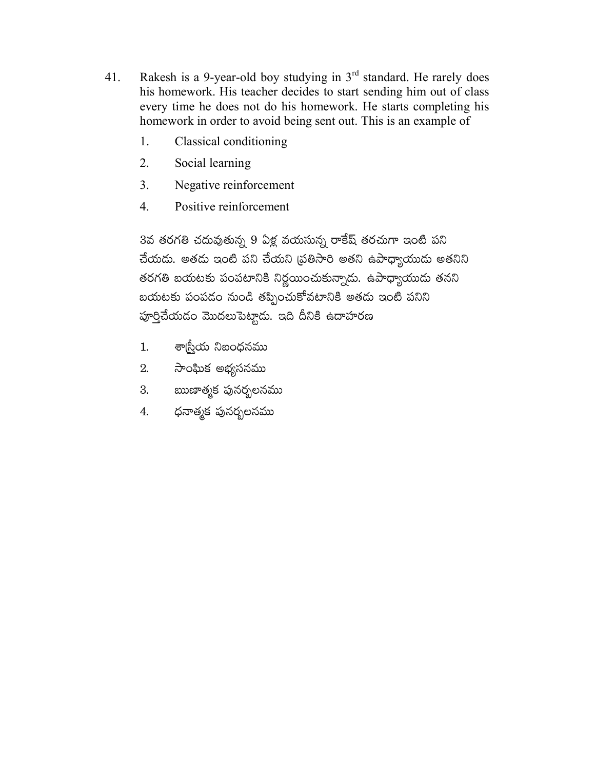- Rakesh is a 9-year-old boy studying in 3<sup>rd</sup> standard. He rarely does 41. his homework. His teacher decides to start sending him out of class every time he does not do his homework. He starts completing his homework in order to avoid being sent out. This is an example of
	- $\mathbf{1}$ . Classical conditioning
	- $2<sub>1</sub>$ Social learning
	- $3<sub>1</sub>$ Negative reinforcement
	- $\overline{4}$ . Positive reinforcement

3వ తరగతి చదువుతున్న 9 ఏళ్ల వయసున్న రాకేష్ తరచుగా ఇంటి పని చేయదు. అతదు ఇంటి పని చేయని (ప్రతిసారి అతని ఉపాధ్యాయుదు అతనిని తరగతి బయటకు పంపటానికి నిర్ణయించుకున్నాడు. ఉపాధ్యాయుడు తనని బయటకు పంపడం నుండి తప్పించుకోవటానికి అతడు ఇంటి పనిని పూర్తిచేయడం మొదలుపెట్టాడు. ఇది దీనికి ఉదాహరణ

- శా్స్తీయ నిబంధనము  $1.$
- 2. సాంఘిక అభ్యసనము
- ఋణాత్మక పునర్భలనము 3.
- ధనాత్మక పునర్బలనము 4.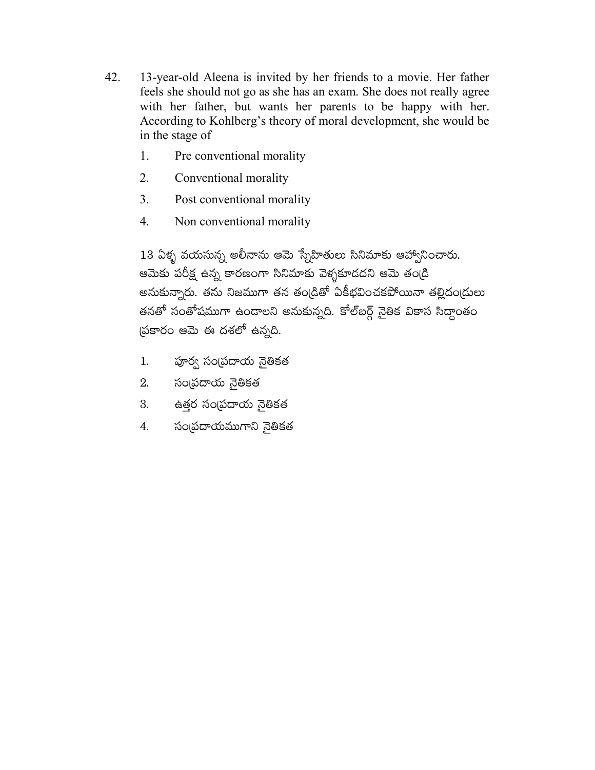- 42. 13-year-old Aleena is invited by her friends to a movie. Her father feels she should not go as she has an exam. She does not really agree with her father, but wants her parents to be happy with her. According to Kohlberg's theory of moral development, she would be in the stage of
	- Pre conventional morality 1.
	- $2.$ Conventional morality
	- $3<sub>1</sub>$ Post conventional morality
	- $\overline{4}$ . Non conventional morality

 $13$  ఏళ్ళ వయసున్న అలీనాను ఆమె స్నేహితులు సినిమాకు ఆహ్వానించారు. ఆమెకు పరీక్ష ఉన్న కారణంగా సినిమాకు వెళ్ళకూడదని ఆమె తండ్రి అనుకున్నారు. తను నిజముగా తన తంఁడితో ఏకీభవించకపోయినా తల్లిదంఁడులు తనతో సంతోషముగా ఉండాలని అనుకున్నది. కోల్ఐర్గ్ నైతిక వికాస సిద్ధాంతం ప్రకారం ఆమె ఈ దశలో ఉన్నది.

- పూర్వ సంప్రదాయ నైతికత  $1.$
- సంద్రదాయ నైతికత 2.
- ఉత్తర సంబపదాయ నైతికత 3.
- సంద్రుదాయముగాని నైతికత 4.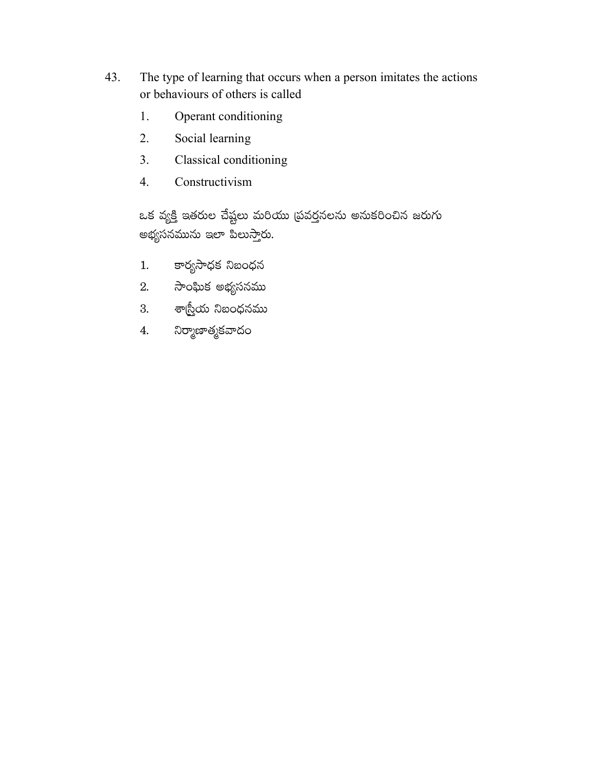- 43. The type of learning that occurs when a person imitates the actions or behaviours of others is called
	- Operant conditioning 1.
	- 2. Social learning
	- Classical conditioning  $3.$
	- Constructivism  $\overline{4}$ .

ఒక వ్యక్తి ఇతరుల చేష్టలు మరియు (పవర్తనలను అనుకరించిన జరుగు అభ్యసనమును ఇలా పిలుస్తారు.

- 1. కార్యసాధక నిబంధన
- 2. సాంఘిక అభ్యసనము
- .<br>3. శాస్ర్రీయ నిబంధనము
- 4. నిర్మాణాత్మకవాదం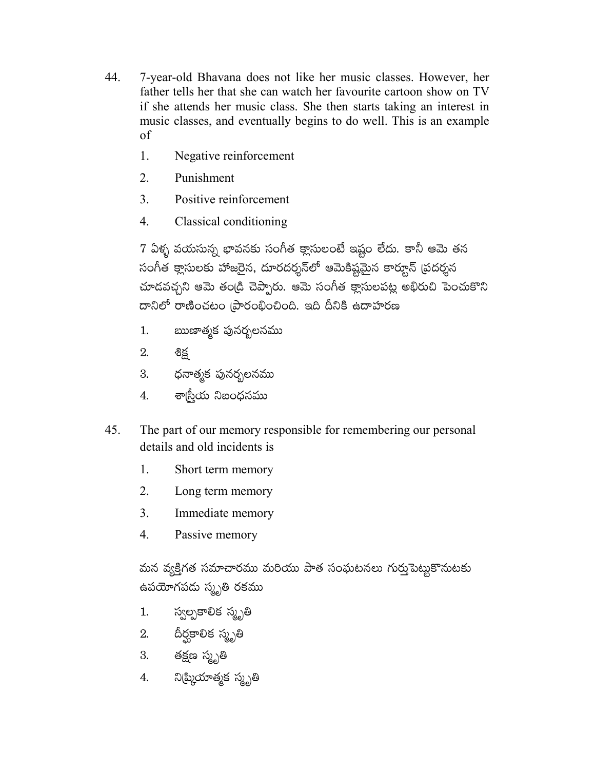- 44. 7-year-old Bhavana does not like her music classes. However, her father tells her that she can watch her favourite cartoon show on TV if she attends her music class. She then starts taking an interest in music classes, and eventually begins to do well. This is an example  $\sigma$ f
	- 1. Negative reinforcement
	- $2.$ Punishment
	- $\overline{3}$ Positive reinforcement
	- $\mathbf{4}$ Classical conditioning

7 ఏళ్ళ వయసున్న భావనకు సంగీత క్లాసులంటే ఇష్టం లేదు. కానీ ఆమె తన సంగీత క్లాసులకు హాజరైన, దూరదర్శన్**లో ఆమెకిష్టమైన కార్టూన్ (పదర్శ**న చూదవచ్చని ఆమె తండ్రి చెప్పారు. ఆమె సంగీత క్లాసులపట్ల అభిరుచి పెంచుకొని దానిలో రాణించటం (పారంభించింది. ఇది దీనికి ఉదాహరణ

- ఋణాత్మక పునరృలనము  $1.$
- 2. లిక్ట
- 3. ధనాత్మక పునర్భలనము
- 4. శా్నీయ నిబంధనము
- The part of our memory responsible for remembering our personal 45. details and old incidents is
	- $\mathbf{1}$ . Short term memory
	- 2. Long term memory
	- $3<sub>1</sub>$ Immediate memory
	- $4.$ Passive memory

మన వ్యక్తిగత సమాచారము మరియు పాత సంఘటనలు గుర్తుపెట్టుకొనుటకు ఉపయోగపడు స్మృతి రకము

- స్వల్పకాలిక స్మృతి 1.
- 2. దీర్ఘకాలిక స్మృతి
- తక్షణ స్మృతి 3.
- 4. నిఝ్రియాత్మక స్మృతి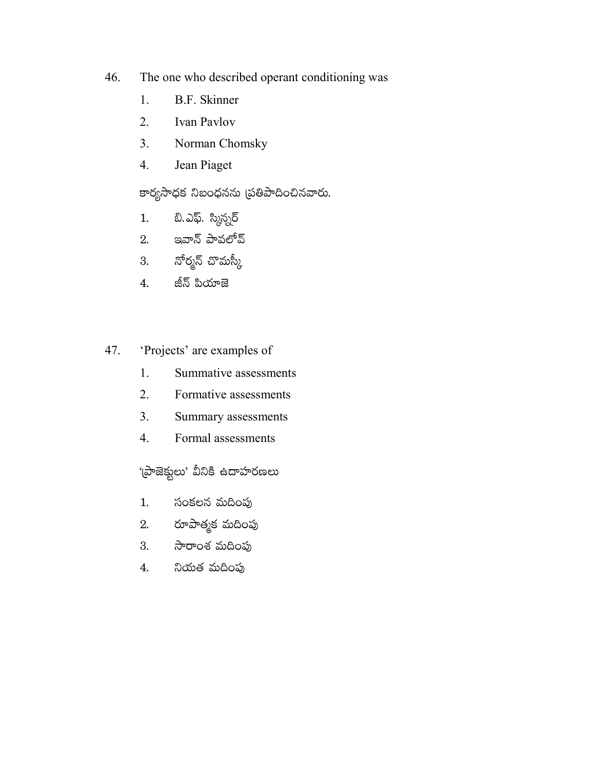- The one who described operant conditioning was 46.
	- 1. B.F. Skinner
	- $2.$ Ivan Pavlov
	- $3.$ Norman Chomsky
	- $4.$ Jean Piaget

కార్యసాధక నిబంధనను (పతిపాదించినవారు.

- బి.ఎఫ్. స్మిన్నర్  $1.$
- 2. ఇవాన్ పావలోవ్
- 3. నోర్మన్ చొమస్కీ
- జీన్ పియాజె 4.
- 'Projects' are examples of 47.
	- 1. Summative assessments
	- 2. Formative assessments
	- 3. Summary assessments
	- 4. Formal assessments

'(పాజెక్టులు' వీనికి ఉదాహరణలు

- సంకలన మదింపు  $1.$
- రూపాత్మక మదింపు 2.
- సారాంశ మదింపు 3.
- నియత మదింపు 4.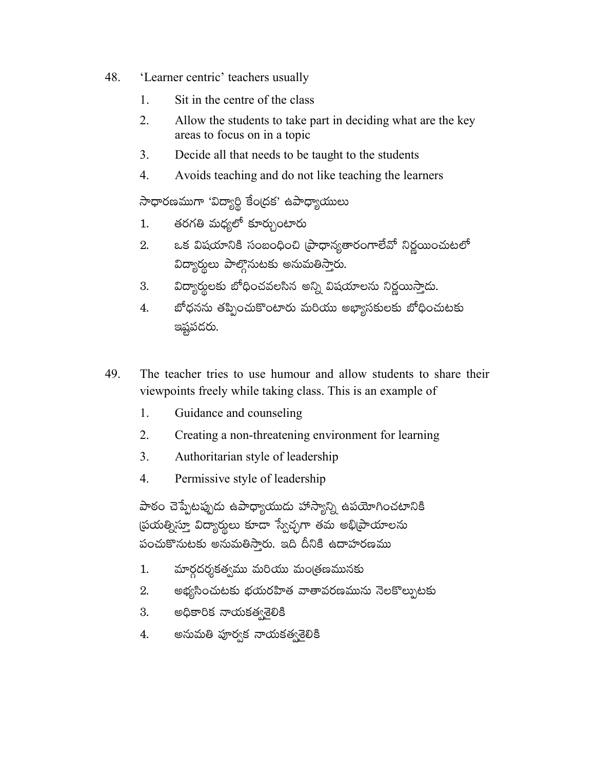- 48. 'Learner centric' teachers usually
	- 1. Sit in the centre of the class
	- $2.$ Allow the students to take part in deciding what are the key areas to focus on in a topic
	- 3. Decide all that needs to be taught to the students
	- $\mathbf{4}$ . Avoids teaching and do not like teaching the learners

సాధారణముగా 'విద్యార్థి కేంద్రక' ఉపాధ్యాయులు

- తరగతి మధ్యలో కూర్చుంటారు  $1.$
- ఒక విషయానికి సంబంధించి (పాధాన్యతారంగాలేవో నిర్ణయించుటలో 2. విద్యార్శలు పాల్గొనుటకు అనుమతిస్తారు.
- విద్యార్థులకు బోధించవలసిన అన్ని విషయాలను నిర్ణయిస్తాడు. 3.
- బోధనను తప్పించుకొంటారు మరియు అభ్యాసకులకు బోధించుటకు 4. ఇష్టపదరు.
- 49. The teacher tries to use humour and allow students to share their viewpoints freely while taking class. This is an example of
	- 1. Guidance and counseling
	- $2.$ Creating a non-threatening environment for learning
	- $\overline{3}$ Authoritarian style of leadership
	- $\overline{4}$ . Permissive style of leadership

పాఠం చెప్పేటప్పుడు ఉపాధ్యాయుడు హాస్యాన్ని ఉపయోగించటానికి ప్రయత్నిస్తూ విద్యార్థులు కూడా స్వేచ్ఛగా తమ అభి[పాయాలను పంచుకొనుటకు అనుమతిస్తారు. ఇది దీనికి ఉదాహరణము

- మార్గదర్శకత్వము మరియు మంత్రణమునకు 1.
- అభ్యసించుటకు భయరహిత వాతావరణమును నెలకొల్పుటకు 2.
- 3. అధికారిక నాయకత్వ లికి
- అనుమతి పూర్వక నాయకత్వశెలికి 4.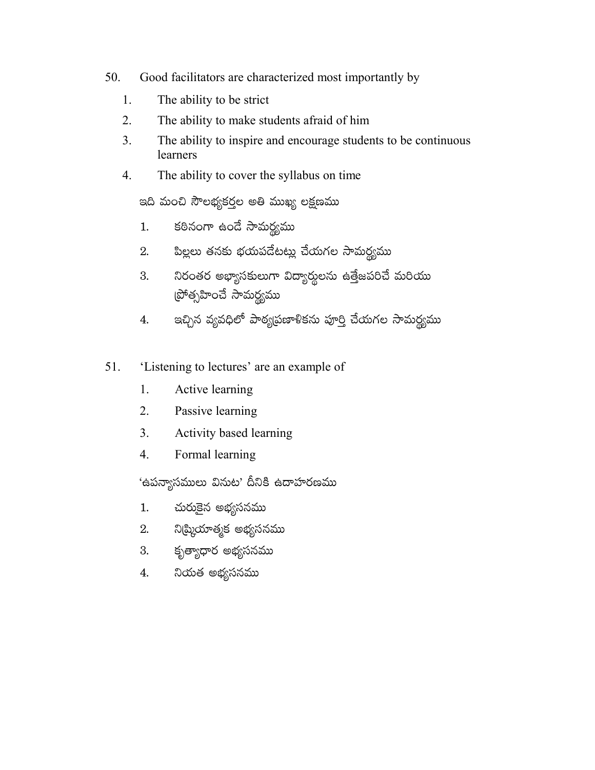- 50. Good facilitators are characterized most importantly by
	- 1. The ability to be strict
	- 2. The ability to make students afraid of him
	- The ability to inspire and encourage students to be continuous  $3<sub>1</sub>$ learners
	- $\overline{4}$ . The ability to cover the syllabus on time

ఇది మంచి సౌలభ్యకర్తల అతి ముఖ్య లక్షణము

- కఠినంగా ఉండే సామర్థ్యము  $1.$
- పిల్లలు తనకు భయపడేటట్లు చేయగల సామర్థ్యము 2.
- నిరంతర అభ్యాసకులుగా విద్యార్థులను ఉత్తేజపరిచే మరియు 3. ట్రోత్సహించే సామర్థ్యము
- ఇచ్చిన వ్యవధిలో పాఠ్యప్రణాళికను పూర్తి చేయగల సామర్థ్యము 4.
- 'Listening to lectures' are an example of 51.
	- 1. Active learning
	- $2<sub>1</sub>$ Passive learning
	- $3<sub>1</sub>$ Activity based learning
	- $4.$ Formal learning

'ఉపన్యాసములు వినుట' దీనికి ఉదాహరణము

- చురుకైన అభ్యసనము  $1.$
- నిట్మియాత్మక అభ్యసనము  $2.$
- కృత్యాధార అభ్యసనము 3.
- నియత అభ్యసనము 4.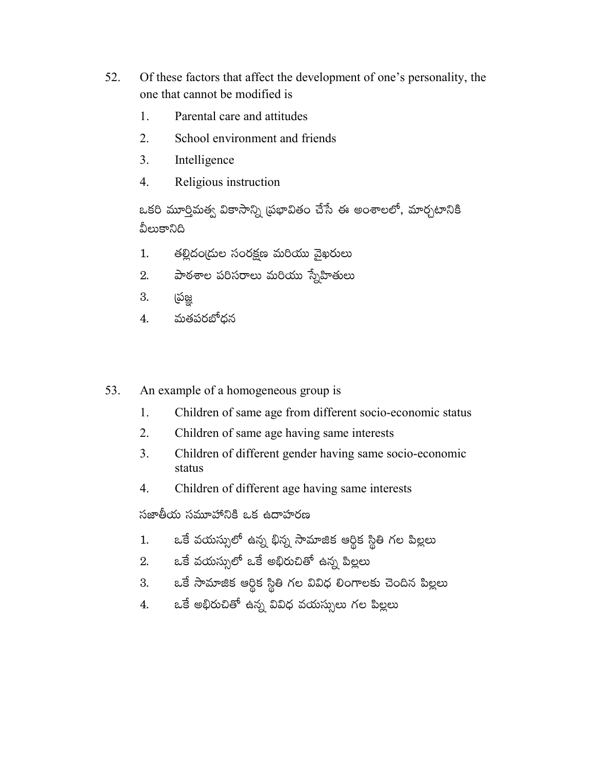- 52. Of these factors that affect the development of one's personality, the one that cannot be modified is
	- $\mathbf{1}$ Parental care and attitudes
	- 2. School environment and friends
	- $3<sub>1</sub>$ Intelligence
	- Religious instruction  $\overline{4}$ .

ఒకరి మూర్తిమత్వ వికాసాన్ని (పభావితం చేసే ఈ అంశాలలో, మార్చటానికి వీలుకానిది

- తల్లిదండ్రుల సంరక్షణ మరియు వైఖరులు  $1.$
- పాఠశాల పరిసరాలు మరియు స్నేహితులు  $2.$
- 3. ర్రుజ్ఞ
- మతపరబోధన 4.
- 53. An example of a homogeneous group is
	- 1. Children of same age from different socio-economic status
	- 2. Children of same age having same interests
	- Children of different gender having same socio-economic 3. status
	- Children of different age having same interests  $\overline{4}$ .

సజాతీయ సమూహానికి ఒక ఉదాహరణ

- ఒకే వయస్సులో ఉన్న భిన్న సామాజిక ఆర్థిక స్థితి గల పిల్లలు  $1.$
- 2. ఒకే వయస్సులో ఒకే అభిరుచితో ఉన్న పిల్లలు
- ఒకే సామాజిక ఆర్థిక స్థితి గల వివిధ లింగాలకు చెందిన పిల్లలు 3.
- ఒకే అభిరుచితో ఉన్న వివిధ వయస్సులు గల పిల్లలు 4.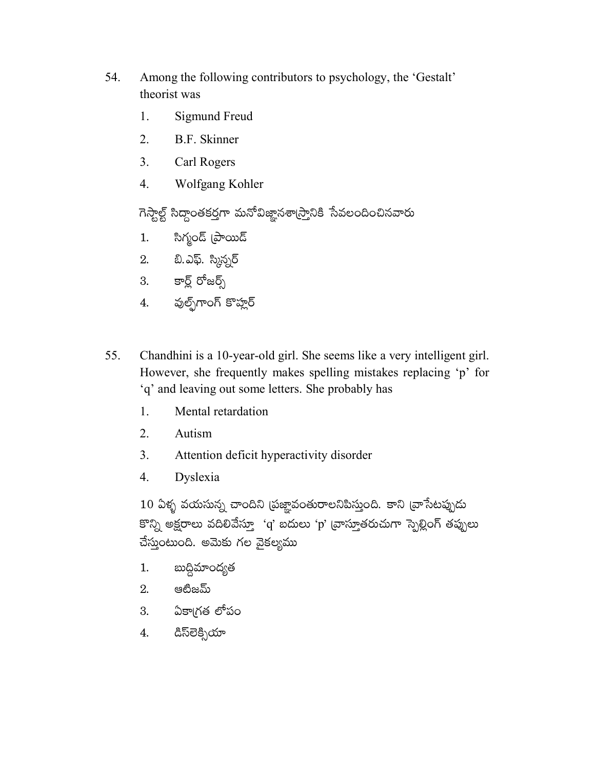- 54. Among the following contributors to psychology, the 'Gestalt' theorist was
	- Sigmund Freud 1.
	- $2.$ **B.F.** Skinner
	- $3<sub>1</sub>$ Carl Rogers
	- $\overline{4}$ . Wolfgang Kohler

గెస్తాల్ట్ సిద్ధాంతకర్తగా మనోవిజ్ఞానశా(స్తానికి సేవలందించినవారు

- సిగ్మండ్ (పాయిడ్  $1.$
- 2. బి.ఎఫ్. స్కిన్సర్
- 3. కార్ల్ రోజర్స్
- 4. పుల్ఫ్గాంగ్ కొహ్లర్
- 55. Chandhini is a 10-year-old girl. She seems like a very intelligent girl. However, she frequently makes spelling mistakes replacing 'p' for 'q' and leaving out some letters. She probably has
	- 1. Mental retardation
	- $2.$ Autism
	- $3<sub>1</sub>$ Attention deficit hyperactivity disorder
	- $\overline{4}$ . Dyslexia

10 ఏళ్ళ వయసున్న చాందిని (పజ్ఞావంతురాలనిపిస్తుంది. కాని (వాసేటప్పుడు కొన్ని అక్షరాలు వదిలివేస్తూ 'q' బదులు 'p' వ్రాస్తూతరుచుగా స్పెల్లింగ్ తప్పులు చేస్తుంటుంది. అమెకు గల వైకల్యము

- బుద్ధిమాంద్యత  $1.$
- $2.$  ෂඪිඝධ්ා
- 3. ఏకా(గత లోపం
- డిస్లెకిృయా  $\overline{4}$ .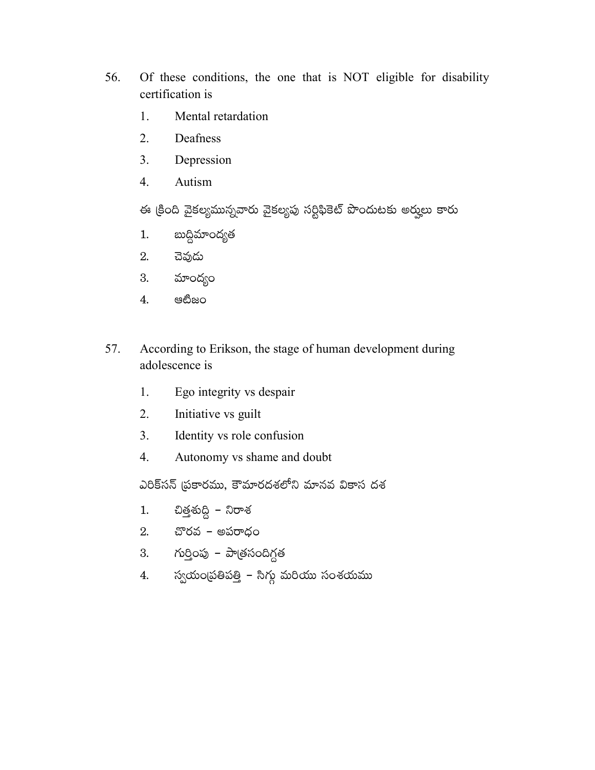- 56. Of these conditions, the one that is NOT eligible for disability certification is
	- Mental retardation  $\mathbf{1}$ .
	- 2. Deafness
	- $3<sub>1</sub>$ Depression
	- $\overline{4}$ . Autism

ఈ క్రింది వైకల్యమున్నవారు వైకల్యపు సర్టిఫికెట్ పొందుటకు అర్హులు కారు

- బుద్ధిమాంద్యత  $1.$
- చెవుడు 2.
- మాంద్యం 3.
- $4.$ ෂඪීඝර
- According to Erikson, the stage of human development during 57. adolescence is
	- Ego integrity vs despair  $1.$
	- $2.$ Initiative vs guilt
	- $3<sub>1</sub>$ Identity vs role confusion
	- Autonomy vs shame and doubt 4.

ఎరిక్సన్ (పకారము, కౌమారదశలోని మానవ వికాస దశ

- చిత్తశుద్ధి నిరాశ  $1.$
- 2. చొరవ $-$  అపరాధం
- 3. గుర్తింపు పాత్రసందిగ్గత
- 4. స్వయంబ్రతిపత్తి సిగ్గు మరియు సంశయము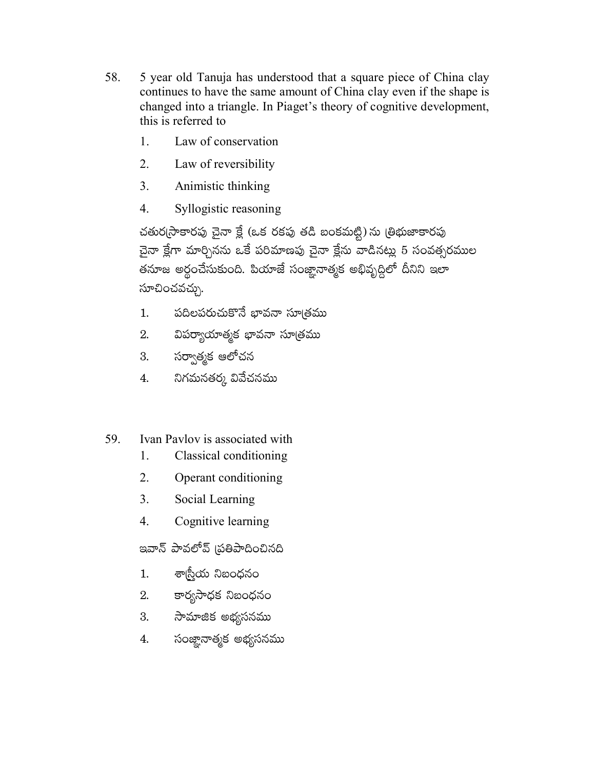- 58. 5 year old Tanuja has understood that a square piece of China clay continues to have the same amount of China clay even if the shape is changed into a triangle. In Piaget's theory of cognitive development, this is referred to
	- $\mathbf{1}$ Law of conservation
	- $2<sup>1</sup>$ Law of reversibility
	- $3<sub>1</sub>$ Animistic thinking
	- $\overline{4}$ . Syllogistic reasoning

చతుర్కసాకారపు చైనా క్లే (ఒక రకపు తడి బంకమట్టి) ను (తిభుజాకారపు చైనా క్లేగా మార్చినను ఒకే పరిమాణపు చైనా క్లేను వాడినట్లు 5 సంవత్సరముల తనూజ అర్థంచేసుకుంది. పియాజే సంజ్ఞానాత్మక అభివృద్ధిలో దీనిని ఇలా సూచించవచ్చు.

- పదిలపరుచుకొనే భావనా సూ౹తము  $1.$
- విపర్యాయాత్మక భావనా సూత్రము 2.
- సర్వాత్మక ఆలోచన 3.
- నిగమనతర్క వివేచనము 4.

#### 59. Ivan Paylov is associated with

- 1. Classical conditioning
- $2<sup>1</sup>$ Operant conditioning
- $3<sub>1</sub>$ Social Learning
- $\overline{4}$ . Cognitive learning

ఇవాన్ పావలోవ్ (పతిపాదించినది

- శా్సీయ నిబంధనం  $1.$
- కార్యసాధక నిబంధనం 2.
- సామాజిక అభ్యసనము 3.
- సంజ్హానాత్మక అభ్యసనము 4.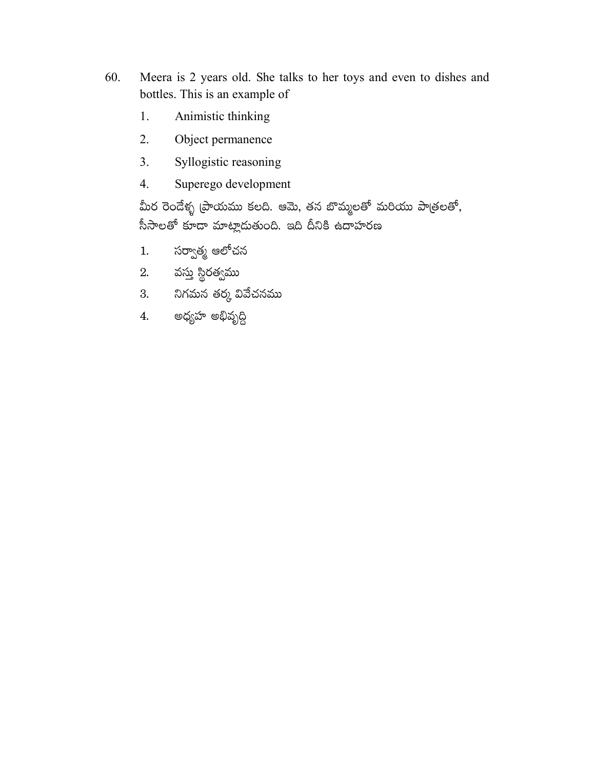- 60. Meera is 2 years old. She talks to her toys and even to dishes and bottles. This is an example of
	- Animistic thinking 1.
	- $2.$ Object permanence
	- $3.$ Syllogistic reasoning
	- $\overline{4}$ . Superego development

మీర రెండేళ్ళ (పాయము కలది. ఆమె, తన బొమ్మలతో మరియు పాత్రలతో, సీసాలతో కూడా మాట్లాదుతుంది. ఇది దీనికి ఉదాహరణ

- సర్వాత్మ ఆలోచన  $1.$
- 2. వస్తు స్థిరత్వము
- 3. నిగమన తర్క వివేచనము
- 4. అధ్యహ అభివృద్ది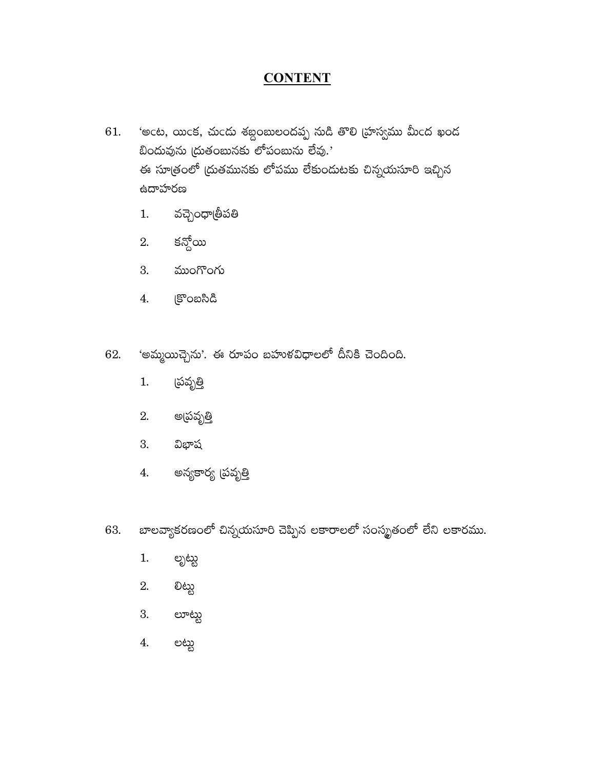### **CONTENT**

- 'అంట, యింక, చుండు శబ్దంబులందప్ప నుడి తొలి (హస్వము మీంద ఖండ 61. బిందువును (దుతంబునకు లోపంబును లేవు. $^{\text{7}}$ ఈ సూత్రంలో (దుతమునకు లోపము లేకుందుటకు చిన్నయసూరి ఇచ్చిన ఉదాహరణ
	- వచ్చెంధా్్తీపతి  $1.$
	- కన్దోయి 2.
	- ముంగొంగు 3.
	- కొంబసిడి 4.
- 'అమ్మయిచ్చెను'. ఈ రూపం బహుళవిధాలలో దీనికి చెందింది. 62.
	- (పవృ<u>త</u>ి  $1.$
	- 2. అ(పవృ<u>త</u>ి
	- విభాష 3.
	- అన్యకార్య (పవ<u>ృత</u>ి 4.
- బాలవ్యాకరణంలో చిన్నయసూరి చెప్పిన లకారాలలో సంస్మృతంలో లేని లకారము. 63.
	- $1.$ లృట్టు
	- 2. ಲಿಟ್ಟು
	- 3. లూట్టు
	- 4. లట్టు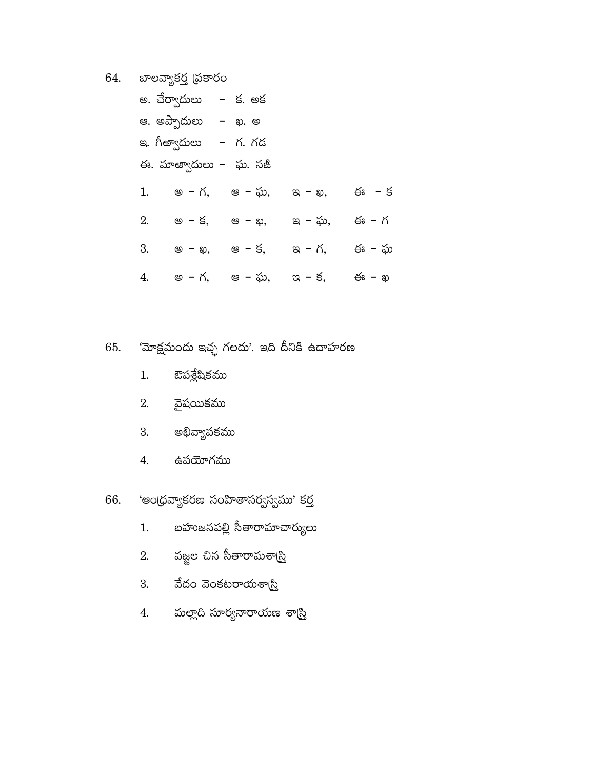64. బాలవ్యాకర్త (పకారం

|    | అ. చేర్వాదులు   –  క. అక  |         |        |       |
|----|---------------------------|---------|--------|-------|
|    | ఆ. అప్పాదులు   –   ఖ. అ   |         |        |       |
|    | ఇ. గీఱ్వాదులు   –   గ. గడ |         |        |       |
|    | ఈ. మాఱ్వాదులు –  ఘ. నజీ   |         |        |       |
| 1. | అ – గ,                    | ఆ – ఘ,  | ಇ – ఖ, | ఈ – క |
| 2. | అ – క,                    | ఆ – ఖ,  | ఇ – ఘ, | ఈ – గ |
| 3. | అ – ఖ,                    | ఆ – క,  | ఇ - గ, | ఈ – ఘ |
| 4. | అ – గ,                    | ఆ  – ఘ, | ఇ - క, | ఈ – ఖ |

- 'మోక్షమందు ఇచ్ఛ గలదు'. ఇది దీనికి ఉదాహరణ 65.
	- ఔపశ్లేషికము  $1.$
	- వైషయికము 2.
	- అభివ్యాపకము 3.
	- ఉపయోగము  $\overline{4}$ .
- 'ఆంధ్రవ్యాకరణ సంహితాసర్వస్వము' కర్త 66.
	- బహుజనపల్లి సీతారామాచార్యులు  $1.$
	- వజ్జల చిన సీతారామశా(<mark>స్తి</mark> 2.
	- వేదం వెంకటరాయశా<mark>స్</mark>రి 3.
	- మల్లాది సూర్యనారాయణ శా<mark>స్</mark>రి 4.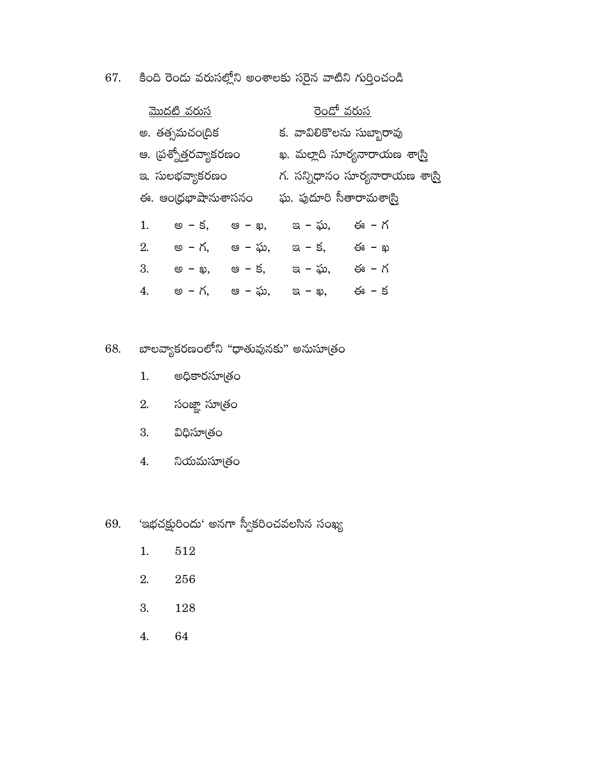కింది రెందు వరుసల్లోని అంశాలకు సరైన వాటిని గుర్తించండి 67.

| <u>మొదటి వరుస</u>     |        |                | <u>రెండో వరుస</u>                |       |  |
|-----------------------|--------|----------------|----------------------------------|-------|--|
| అ. తత్సమచం[దిక        |        |                | క. వావిలికొలను సుబ్బారావు        |       |  |
| ఆ. (పశ్నోత్తరవ్యాకరణం |        |                | ఖ. మల్లాది సూర్యనారాయణ శా(స్త్రి |       |  |
| ఇ. సులభవ్యాకరణం       |        |                | గ. సన్నిధానం సూర్యనారాయణ శాట్రి  |       |  |
| ఈ. ఆంధ్రభాషానుశాసనం   |        |                | ఘ. పుదూరి సీతారామశా్న            |       |  |
| 1.                    | అ – క, | ಆ – <b>ఖ</b> , | ఇ – ఘ,                           | ఈ – గ |  |
| 2.                    | అ – గ. | ఆ – ఘ.         | ఇ - క.                           | ఈ – ఖ |  |
| 3.                    | అ – ఖ, | ఆ – క.         | ఇ – ఘ,                           | ఈ – గ |  |
| 4.                    | అ – గ. | ఆ – ఘ.         | ಇ – ఖ,                           | ఈ – క |  |

### బాలవ్యాకరణంలోని "ధాతువునకు" అనుసూత్రం 68.

- అధికారసూత్రం  $1.$
- సంజ్ఞా సూత్<mark>రం</mark> 2.
- 3. విధిసూత్రం
- $4.$ నియమసూత్రం

### 'ఇభచక్షురిందు' అనగా స్వీకరించవలసిన సంఖ్య 69.

- $512\,$  $1.$
- 2. 256
- 3. 128
- $\overline{4}$ . 64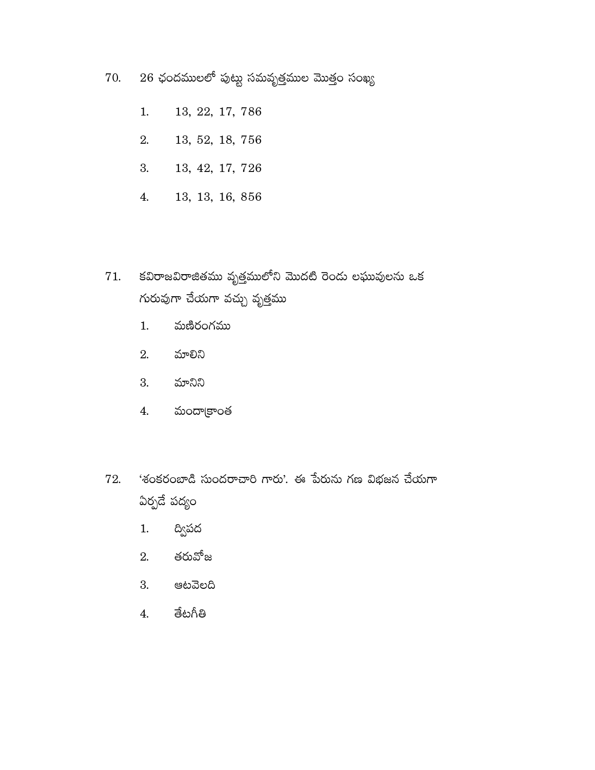- $26$  ఛందములలో పుట్టు సమవృత్తముల మొత్తం సంఖ్య 70.
	- 13, 22, 17, 786  $1.$
	- 2. 13, 52, 18, 756
	- 13, 42, 17, 726 3.
	- $4.$ 13, 13, 16, 856
- కవిరాజవిరాజితము వృత్తములోని మొదటి రెండు లఘువులను ఒక 71. గురువుగా చేయగా వచ్చు వృత్తము
	- మణిరంగము  $1.$
	- 2. మాలిని
	- 3. మానిని
	- మందా[కాంత  $4.$
- 'శంకరంబాడి సుందరాచారి గారు'. ఈ పేరును గణ విభజన చేయగా 72. ఏర్పడే పద్యం
	- ద్విపద  $1.$
	- 2. తరువోజ
	- 3. ఆటవెలది
	- తేటగీతి  $4.$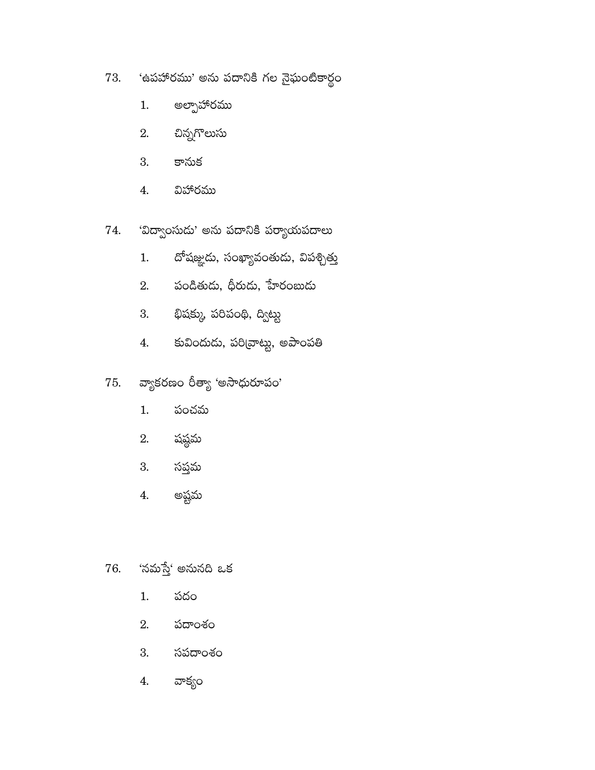- 'ఉపహారము' అను పదానికి గల నైఘంటికార్థం 73.
	- అల్పాహారము 1.
	- చిన్నగొలుసు 2.
	- కానుక 3.
	- విహారము  $4.$
- 'విద్వాంసుడు' అను పదానికి పర్యాయపదాలు 74.
	- దోషజ్ఞుడు, సంఖ్యావంతుడు, విపశ్చిత్తు  $1.$
	- పండితుడు, ధీరుడు, హేరంబుడు 2.
	- భిషక్కు, పరిపంథి, ద్విట్టు 3.
	- కువిందుడు, పరి[వాట్టు, అపాంపతి  $4.$
- వ్యాకరణం రీత్యా 'అసాధురూపం' 75.
	- $1.$ పంచమ
	- 2. షష్ఠమ
	- 3. సప్తమ
	- అష్టమ  $\boldsymbol{4}$ .
- 'నమస్తే' అనునది ఒక 76.
	- $1.$ పదం
	- 2. పదాంశం
	- 3. సపదాంశం
	- వాక్యం 4.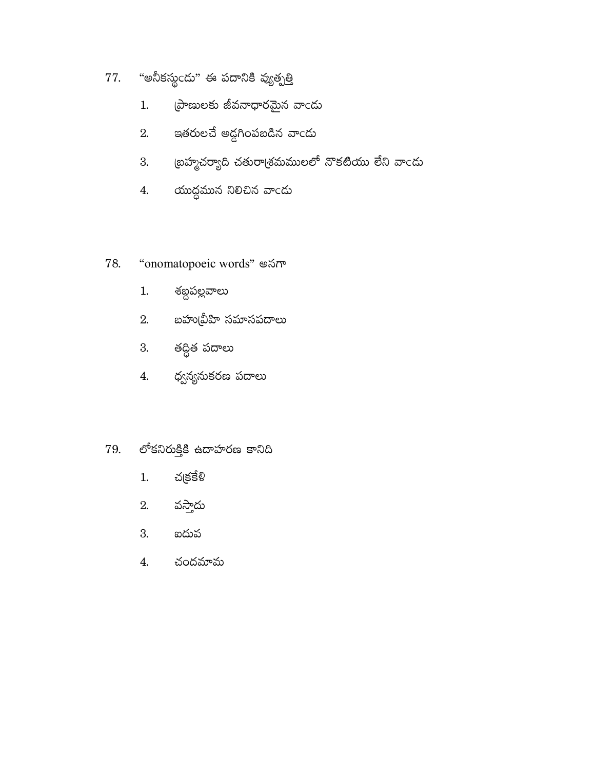- "అనీకస్థండు" ఈ పదానికి వ్యుత్పత్తి 77.
	- ప్రాణులకు జీవనాధారమైన వాండు  $1.$
	- ఇతరులచే అద్దగింపబడిన వాండు 2.
	- ౹బహ్మచర్యాది చతురా<sub>(</sub>శమములలో నొకటియు లేని వాందు 3.
	- 4. యుద్ధమున నిలిచిన వాండు

#### "onomatopoeic words" అనగా 78.

- శబ్దపల్లవాలు  $1.$
- 2. బహు(వీహి సమాసపదాలు
- 3. తద్ధిత పదాలు
- ధ్వన్యనుకరణ పదాలు  $\overline{4}$ .

#### లోకనిరుక్తికి ఉదాహరణ కానిది 79.

- $1.$ చక్రకేళ్
- వస్తాదు 2.
- 3. ఐదువ
- చందమామ  $4.$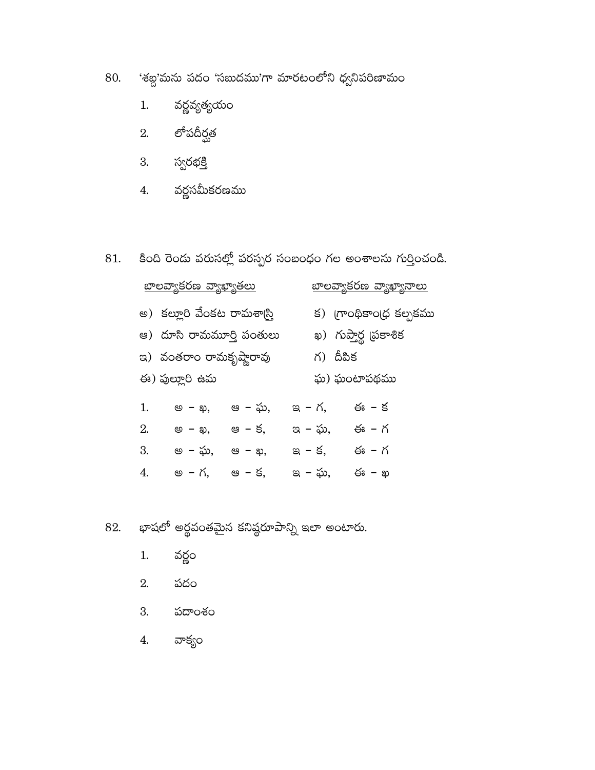- 'శబ్ద'మను పదం 'సబుదము'గా మారటంలోని ధ్వనిపరిణామం 80.
	- వర్ణవ్యత్యయం  $1.$
	- 2. లోపదీర్ఘత
	- 3. స్వరభక్తి
	- 4. వర్ణసమీకరణము
- కింది రెండు వరుసల్లో పరస్పర సంబంధం గల అంశాలను గుర్తించండి. 81.

|    | <u> బాలవ్వాకరణ వ్యాఖ్యాతలు</u>   |         |        | <u>బాలవ్యాకరణ వ్యాఖ్యానాలు</u> |
|----|----------------------------------|---------|--------|--------------------------------|
|    | అ)  కల్లూరి వేంకట రామశాస్ట్రి    |         |        | క) గ్రాంథికాం(ధ కల్పకము        |
|    | ఆ) దూసి రామమూ <u>ర్తి</u> పంతులు |         |        | ఖ) గుప్తార్థ (పకాశిక           |
|    | ఇ)  వంతరాం రామకృష్తారావు         |         |        | గ) దీపిక                       |
|    | ఈ) పుల్లూరి ఉమ                   |         |        | ఘ) ఘంటాపథము                    |
| 1. | అ – ఖ,                           | ఆ  – ఘ. | ఇ - గ, | ఈ – క                          |
| 2. | అ – ఖ,                           | ఆ – క,  | ఇ – ఘ, | ఈ – గ                          |
| 3. | అ – ఘ,                           | ఆ – ఖ,  | ఇ - క. | ఈ – గ                          |
| 4. | అ – గ.                           | ఆ – క.  | ఇ – ఘ, | ఈ – ఖ                          |
|    |                                  |         |        |                                |

- భాషలో అర్థవంతమైన కనిష్ఠరూపాన్ని ఇలా అంటారు. 82.
	- వర్థం  $1.$
	- పదం 2.
	- 3. పదాంశం
	- వాక్యం 4.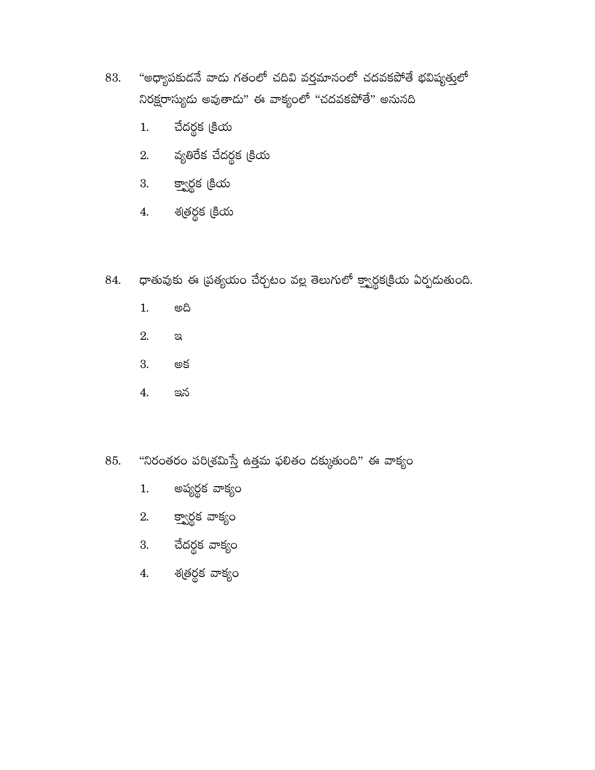- "అధ్యాపకుడనే వాడు గతంలో చదివి వర్తమానంలో చదవకపోతే భవిష్యత్తులో 83. నిరక్షరాస్యుదు అవుతాదు" ఈ వాక్యంలో "చదవకపోతే" అనునది
	- చేదర్థక క్రియ  $1.$
	- $2.$  వృతిరేక చేదర్ధక క్రియ
	- 3. క్వార్గక క్రియ
	- 4. శతర్థక క్రియ

#### ధాతువుకు ఈ (పత్యయం చేర్చటం వల్ల తెలుగులో క్వార్థక(కియ ఏర్పదుతుంది. 84.

- ගයි  $1.$
- 2.  $\mathbb{S}$
- 3. అక
- $\overline{4}$ . ఇన

#### "నిరంతరం పరి<sub>(</sub>శమిస్తే ఉత్తమ ఫలితం దక్కుతుంది" ఈ వాక్యం 85.

- అప్యర్ధక వాక్యం  $1.$
- 2. క్వార్గక వాక్యం
- 3. చేదర్థక వాక్యం
- 4. శత్రర్థక వాక్యం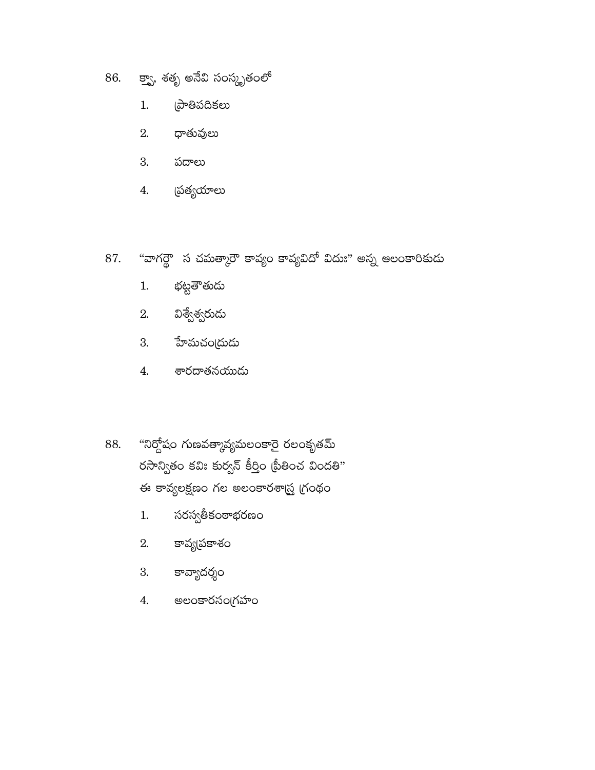- 86. క్వా, శతృ అనేవి సంస్కృతంలో
	- @ాతిపదికలు  $1.$
	- ధాతువులు 2.
	- 3. పదాలు
	- త్య<mark>యా</mark>లు  $4.$
- "వాగర్థౌ స చమత్కారౌ కావ్యం కావ్యవిదో విదుః" అన్న ఆలంకారికుడు 87.
	- భట్టతౌతుడు  $1.$
	- విశ్వేశ్వరుడు 2.
	- హేమచం(దుడు 3.
	- శారదాతనయుడు 4.
- "నిర్దోషం గుణవత్మావ్యమలంకారై రలంకృతమ్ 88. రసాన్వితం కవిః కుర్వన్ కీర్తిం (పీతించ విందతి" ఈ కావ్యలక్షణం గల అలంకారశాద్ర్ర గ్రంథం
	- సరస్వతీకంఠాభరణం  $1.$
	- కావ్య(పకాశం 2.
	- కావ్యాదర్శం 3.
	- అలంకారసంగ్రహం 4.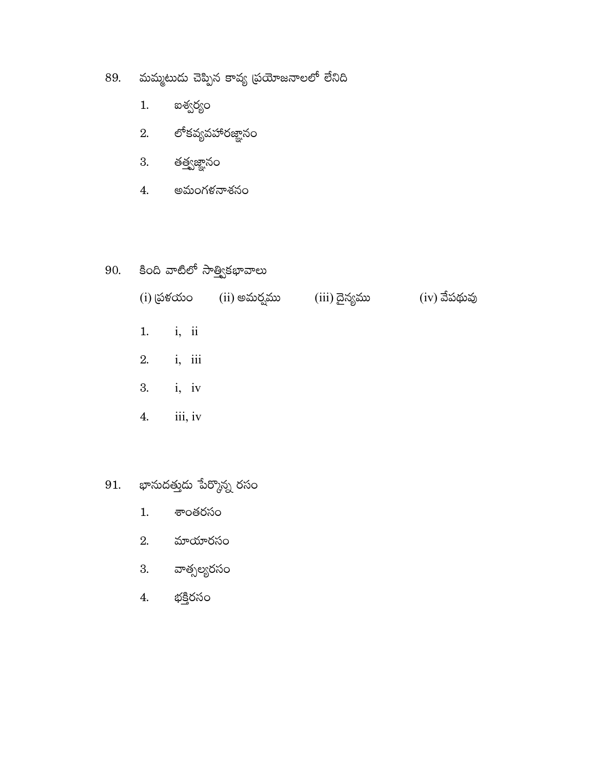- 89. మమ్మటుదు చెప్పిన కావ్య (పయోజనాలలో లేనిది
	- ఐశ్వర్యం  $1.$
	- 2. లోకవ్యవహారజ్ఞానం
	- 3. తత్త్వజ్ఞానం
	- 4. అమంగళనాశనం

## 90. కింది వాటిలో సాత్త్వికభావాలు

| $(i)$ (పళయం |         | (ii) అమర్వము | (iii) దైన్యము | $(iv)$ వేపథువు |
|-------------|---------|--------------|---------------|----------------|
| 1. $i, ii$  |         |              |               |                |
| 2.          | i, iii  |              |               |                |
| 3.          | i, iv   |              |               |                |
| 4.          | iii, iv |              |               |                |

- $91.$  భానుదత్తుడు పేర్కొన్న రసం
	- 1. శాంతరసం
	- $2.$  మాయారసం
	- 3. వాత్సల్యరసం
	- భక్తిరసం 4.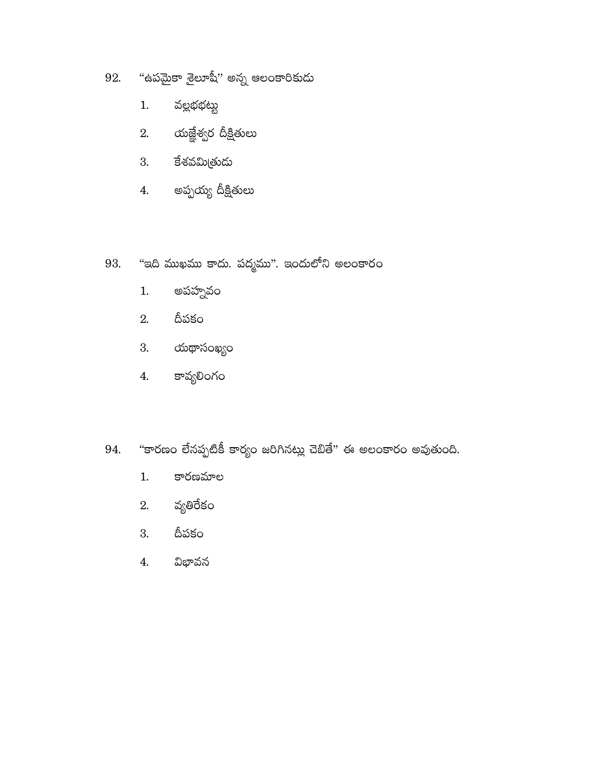- "ఉపమైకా శైలూషీ" అన్న ఆలంకారికుడు 92.
	- వల్లభభట్టు  $1.$
	- 2. యజ్ఞేశ్వర దీక్షితులు
	- 3. కేశవమిత్రుడు
	- 4. అప్పయ్య దీక్షితులు
- "ఇది ముఖము కాదు. పద్మము". ఇందులోని అలంకారం 93.
	- అపహ్నవం  $1.$
	- దీపకం 2.
	- 3. యథాసంఖ్యం
	- కావ్యలింగం  $4.$
- "కారణం లేనప్పటికీ కార్యం జరిగినట్లు చెబితే" ఈ అలంకారం అవుతుంది. 94.
	- కారణమాల  $1.$
	- వ్యతిరేకం 2.
	- దీపకం 3.
	- విభావన  $\overline{4}$ .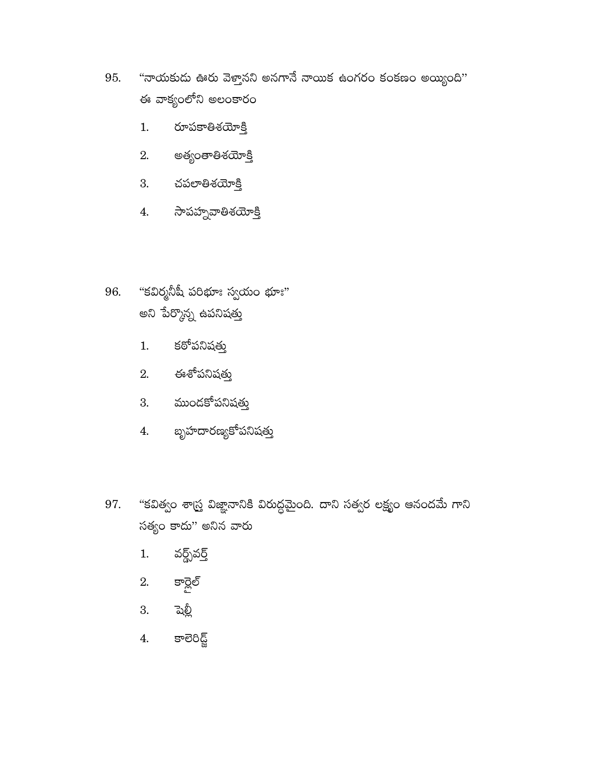- "నాయకుడు ఊరు వెళ్తానని అనగానే నాయిక ఉంగరం కంకణం అయ్యింది" 95. ఈ వాక్యంలోని అలంకారం
	- రూపకాతిశయోక్తి  $1.$
	- అత్యంతాతిశయ<u>ో</u> క్తి 2.
	- 3. చపలాతిశయోక్తి
	- $4.$  సాపహ్నవాతిశయోక్తి
- 96. "కవిర్మనీషీ పరిభూః స్వయం భూః" అని పేర్కొన్న ఉపనిషత<mark>్</mark>తు
	- కఠోపనిషత్తు  $1.$
	- $2.$  ఈశోపనిషత్తు
	- 3. ముందకోపనిషత్తు
	- బృహదారణ్యకోపనిషత్తు 4.
- "కవిత్వం శాస్ర్త విజ్ఞానానికి విరుద్ధమైంది. దాని సత్వర లక్ష్యం ఆనందమే గాని 97. సత్యం కాదు'' అనిన వారు
	- వర్ధ్స్వర్త్ 1.
	- 2. కార్లెల్
	- $3.$  పెల్లీ
	- కాలెరిడ్జ్  $\overline{4}$ .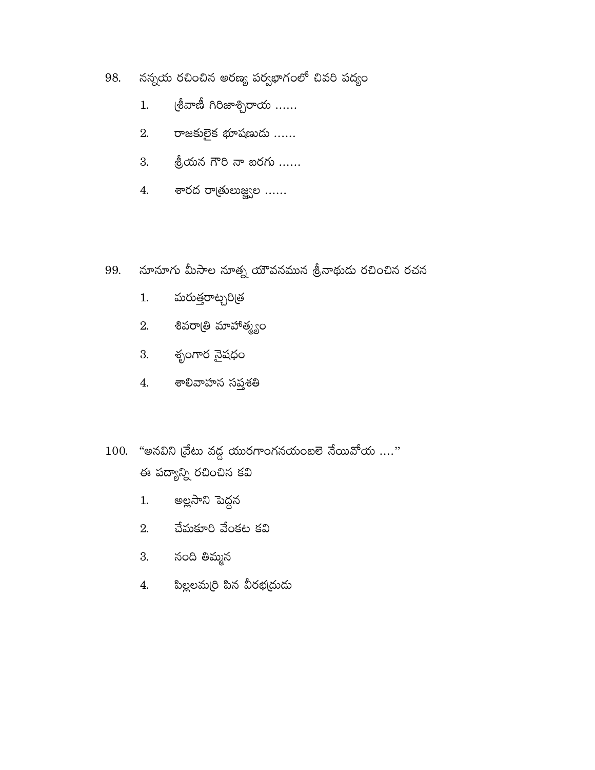- నన్నయ రచించిన అరణ్య పర్వభాగంలో చివరి పద్యం 98.
	- (శీవాణీ గిరిజాశ్చిరాయ  $.....$  $1.$
	- 2. రాజకులైక భూషణుడు ......
	-
	- 4. శారద రాత్రులుజ్జ్వల ......
- నూనూగు మీసాల నూత్న యౌవనమున శ్రీనాథుడు రచించిన రచన 99.
	- మరుత్తరాట్చరి(త  $1.$
	- శివరాఁతి మాహాత్మ్యం 2.
	- 3. శృంగార నైషధం
	- $4.$  శాలివాహన సప్తశతి
- $100.$  "అనవిని (వేటు వద్ద యురగాంగనయంబలె నేయివోయ ...." ఈ పద్యాన్ని రచించిన కవి
	- అల్లసాని పెద్దన  $1.$
	- $2.$  చేమకూరి వేంకట కవి
	- 3. నంది తిమ్మన
	- పిల్లలమ(రి పిన వీరభ(దుడు 4.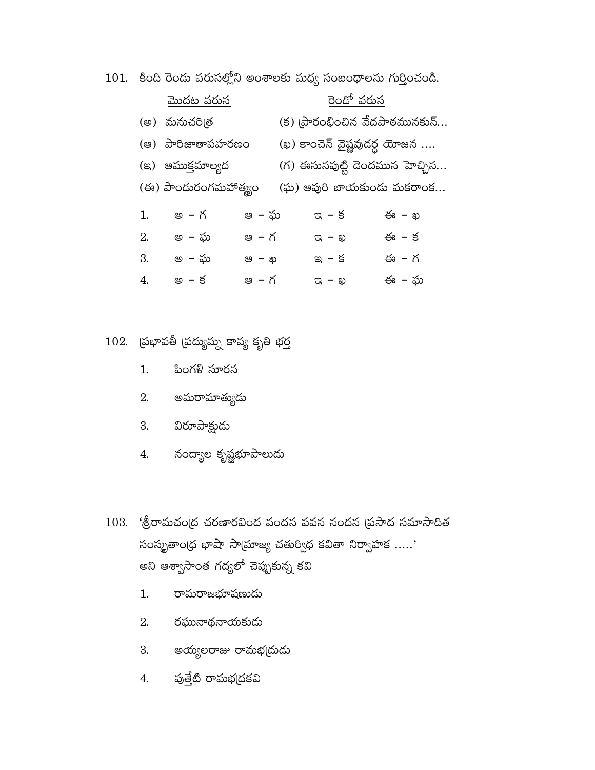$101.$  కింది రెందు వరుసల్లోని అంశాలకు మధ్య సంబంధాలను గుర్తించండి.

|    | <u>మొదట వరుస</u>      |              | <u>రెండో వరుస</u>              |       |
|----|-----------------------|--------------|--------------------------------|-------|
|    | (అ) మనుచరిత్ర         |              | (క) (పారంభించిన వేదపాఠమునకున్  |       |
|    | (ఆ) పారిజాతాపహరణం     |              | (ఖ) కాంచెన్ వైష్ణవుదర్ధ యోజన   |       |
|    | (ఇ) ఆముక్తమాల్యద      |              | (గ) ఈసునపుట్టి దెందమున హెచ్చిన |       |
|    | (ఈ) పాందురంగమహాత్మ్యం |              | (ఘ) ఆపురి బాయకుందు మకరాంక      |       |
| 1. | అ – గ                 | ఆ – ఘ        | $\alpha$ – $\beta$             | ఈ – ఖ |
| 2. | అ  – ఘ                | ఆ  – గ       | $\approx$ - $\approx$          | ఈ – క |
| 3. | అ  – ఘ                | <b>@ – ఖ</b> | ఇ – క                          | ఈ – గ |
| 4. | అ – క                 | ఆ – గ        | $\alpha - \omega$              | ఈ – ఘ |

 $102.$  (పభావతీ (పద్యుమ్న కావ్య కృతి భర్త

- 1. పింగళి సూరన
- 2. అమరామాత్యుడు
- 3. విరూపాక్షుడు
- 4. నంద్యాల కృష్ణభూపాలుడు
- $103.$  'శ్రీరామచంద్ర చరణారవింద వందన పవన నందన (ప్రసాద సమాసాదిత సంస్థృతాం(ధ భాషా సాయ్రాజ్య చతుర్విధ కవితా నిర్వాహక .....' అని ఆశ్వాసాంత గద్యలో చెప్పుకున్న కవి
	- రామరాజభూషణుడు  $1.$
	- $2.$  రఘునాథనాయకుడు
	- 3. అయ్యలరాజు రామభ(దుడు
	- 4. పుత్తేటి రామభ(దకవి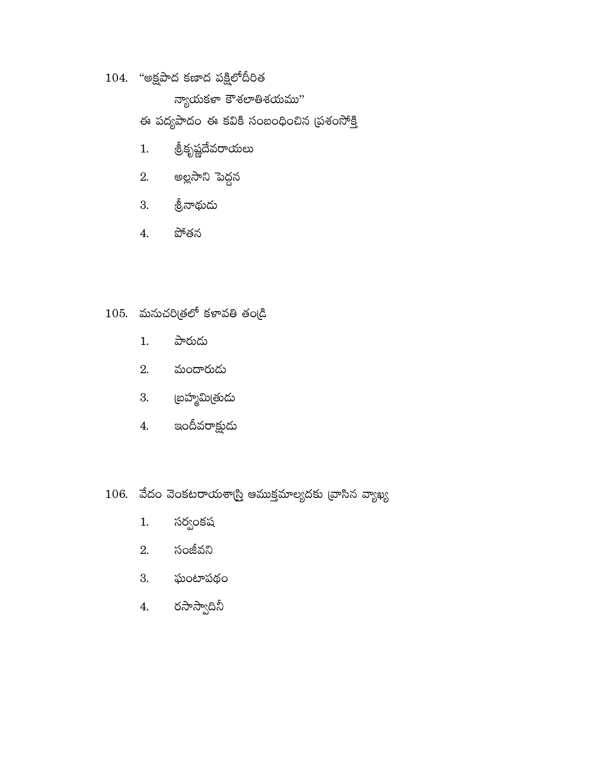## $104.$  "అక్షపాద కణాద పక్షిలోదీరిత

న్యాయకళా కౌశలాతిశయము"

ఈ పద్యపాదం ఈ కవికి సంబంధించిన (పశంసోక్తి

- త్రీకృష్ణదేవరాయలు  $1.$
- అల్లసాని పెద్దన 2.
- 3. శ్రీనాథుడు
- పోతన  $4.$

# $105.$  మనుచరిత్రలో కళావతి తండ్రి

- పారుడు  $1.$
- మందారుడు 2.
- 3. (బహ్మమి(తుడు
- 4. ఇందీవరాక్షుడు
- $106.$  వేదం వెంకటరాయశాస్త్రి ఆముక్తమాల్యదకు వ్రాసిన వ్యాఖ్య
	- $1.$ సర్వంకష
	- 2. సంజీవని
	- 3. ఘంటాపథం
	- 4. రసాస్వాదినీ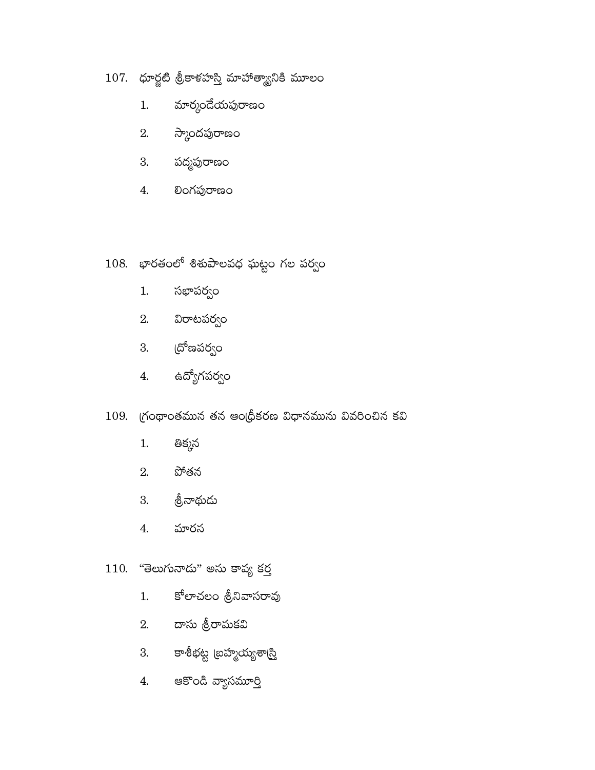## $107.$  ధూర్జటి శ్రీకాళహస్తి మాహాత్మ్యానికి మూలం

- మార్మందేయపురాణం  $1.$
- $2.$  స్కాందపురాణం
- 3. పద్మపురాణం
- లింగపురాణం 4.

## 108. భారతంలో శిశుపాలవధ ఘట్టం గల పర్వం

- సభాపర్వం  $1.$
- $2.$  విరాటపర్వం
- 3. (దోణపర్వం
- ఉద్యోగపర్వం  $4.$

## $109.$  గ్రంథాంతమున తన ఆంధ్రీకరణ విధానమును వివరించిన కవి

- తిక్కన  $1.$
- 2. పోతన
- 3. శ్రీనాథుడు
- మారన 4.

### $110.$  "తెలుగునాదు" అను కావ్య కర్త

- కోలాచలం శ్రీనివాసరావు  $1.$
- 2. దాసు శ్రీరామకవి
- 3. కాశీభట్ట బ్రహ్మయ్యశాద్రి
- 4. ఆకొండి వ్యాసమూర్తి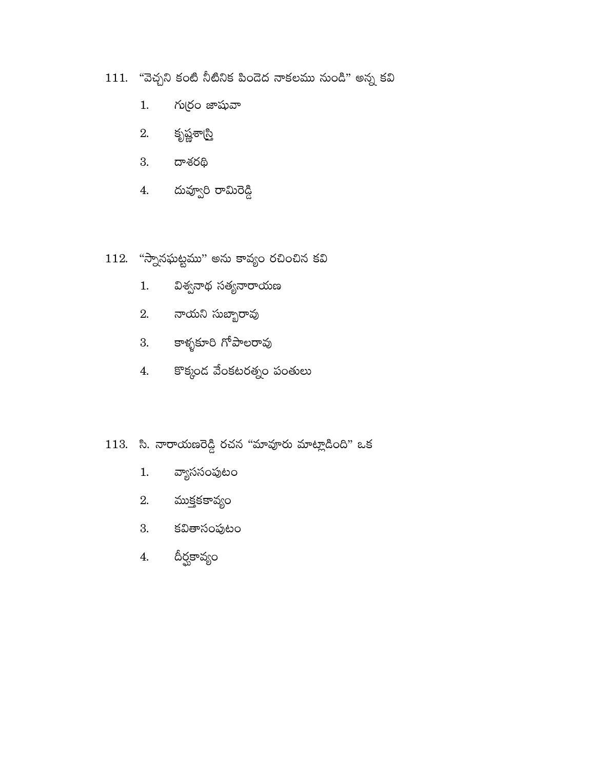- $111.$  "వెచ్చని కంటి నీటినిక పిందెద నాకలము నుండి" అన్న కవి
	- గుర్రం జాషువా  $1.$
	- $2.$  కృష్ణశా $\mathbb{S}$
	- 3. దాశరథి
	- 4. దువ్వూరి రామిరెడ్డి
- $112.$  "స్నానఘట్టము" అను కావ్యం రచించిన కవి
	- విశ్వనాథ సత్యనారాయణ  $1.$
	- 2. నాయని సుబ్బారావు
	- 3. కాళ్ళకూరి గోపాలరావు
	- 4. కొక్కండ వేంకటరత్నం పంతులు
- 113. సి. నారాయణరెడ్డి రచన "మావూరు మాట్లాడింది" ఒక
	- వ్యాససంపుటం  $1.$
	- $2.$  ముక్తకకావ్యం
	- 3. కవితాసంపుటం
	- దీర్ఘకావ్యం  $4.$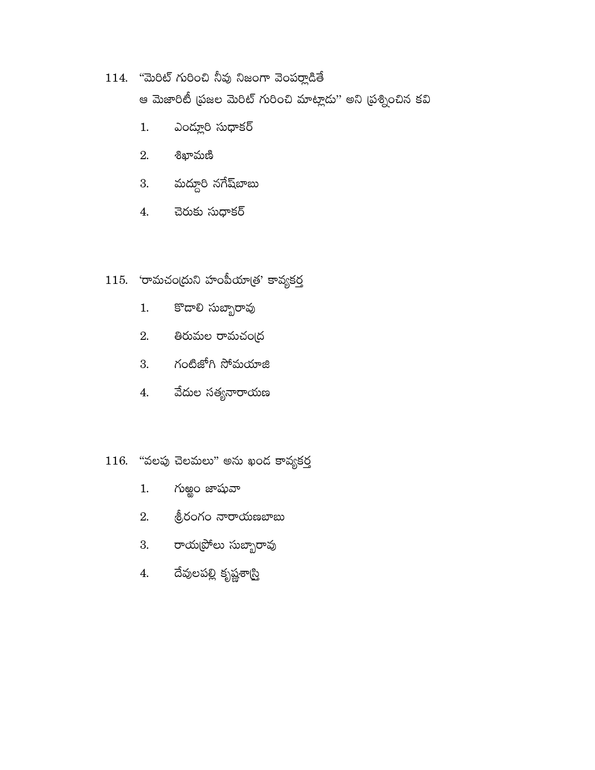## $114.$  "మెరిట్ గురించి నీవు నిజంగా వెంపర్లాడితే

ఆ మెజారిటీ (పజల మెరిట్ గురించి మాట్లాడు'' అని (పశ్నించిన కవి

- ఎంద్లూరి సుధాకర్ 1.
- 2. లిఖామణ<u>ి</u>
- 3. మద్దూరి నగేష్*టా*బు
- చెరుకు సుధాకర్ 4.

## $115.$  రామచంద్రుని హంపీయాత్రు కావ్యకర్త

- కొడాలి సుబ్బారావు  $1.$
- 2. తిరుమల రామచంద్ర
- 3. గంటిజోగి సోమయాజి
- వేదుల సత్యనారాయణ  $4.$

## $116.$  "వలపు చెలమలు" అను ఖండ కావ్యకర్త

- గుఱ్ఱం జాషువా  $1.$
- త్రీరంగం నారాయణబాబు 2.
- 3. రాయట్రోలు సుబ్బారావు
- దేవులపల్లి కృష్ణశా<u>స్తి</u> 4.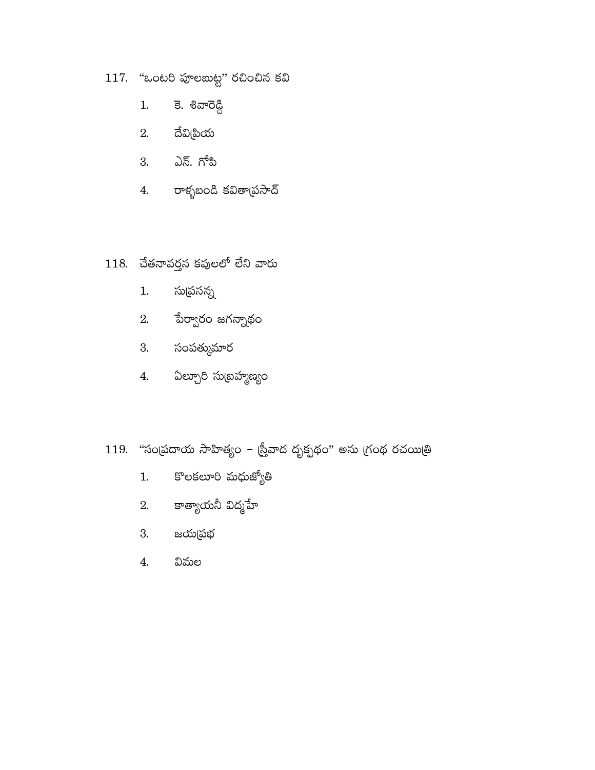- 117. "ఒంటరి పూలబుట్ట" రచించిన కవి
	- కె. శివారెడ్డి  $1.$
	- $2.$  ධ්ව $\&$ හිරා
	- 3. ఎన్. గోప<u>ి</u>
	- 4. రాళ్ళబండి కవితా(పసాద్
- $118.$  చేతనావర్తన కవులలో లేని వారు
	- సుద్రసన్న  $1.$
	- 2. పేర్వారం జగన్నాథం
	- 3. సంపత్కుమార
	- 4. ఏల్చూరి సుబ్రహ్మణ్యం
- $119.$  "సంద్రుదాయ సాహిత్యం స్రీవాద దృక్పథం" అను గ్రంథ రచయిత్రి
	- కొలకలూరి మధుజ్యోతి  $1.$
	- 2. కాత్యాయనీ విద్మహే
	- 3. జయద్రభ
	- విమల  $\overline{4}$ .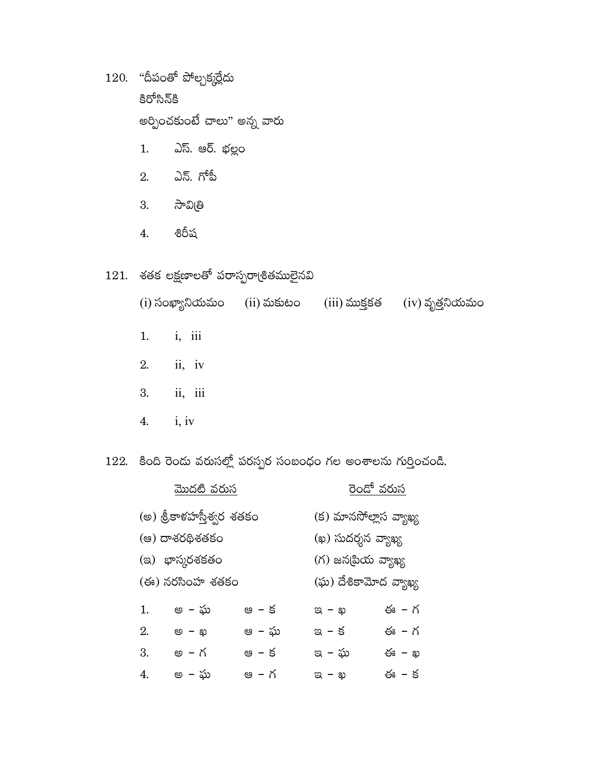$120.$  "దీపంతో పోల్చక్కర్లేదు కిరోసిన్కి అర్పించకుంటే చాలు" అన్న వారు

- $1.$ ఎస్. ఆర్. భల్లం
- 2. ఎన్. గోపీ
- 3. సావిత్రి
- శిరీష  $4.$

## $121.$  శతక లక్షణాలతో పరాస్పరా(శితములైనవి

(i) సంఖ్యానియమం (ii) మకుటం (iii) ముక్తకత (iv) వృత్తనియమం

- $i, iii$  $1.$
- 2.  $ii, iv$
- ii, iii 3.
- $i, iv$  $4.$

122. కింది రెండు వరుసల్లో పరస్పర సంబంధం గల అంశాలను గుర్తించండి.

| <u>మొదటి వరుస</u>         |       |                       | <u>రెండో వరుస</u>      |  |  |
|---------------------------|-------|-----------------------|------------------------|--|--|
| (అ) శ్రీకాళహస్తీశ్వర శతకం |       |                       | (క) మానసోల్లాస వ్యాఖ్య |  |  |
| (ఆ) దాశరథిశతకం            |       |                       | (ఖ) సుదర్శన వ్యాఖ్య    |  |  |
| (ఇ) భాస్కరశకతం            |       |                       | (గ) జన(పియ వ్యాఖ్య     |  |  |
| (ఈ) నరసింహ శతకం           |       | (ఘ) దేశికామోద వ్యాఖ్య |                        |  |  |
| 1.<br>అ – ఘ               | ఆ – క | $\alpha - \omega$     | ఈ – గ                  |  |  |
| 2.<br>అ – <b>ఖ</b>        | ఆ – ఘ | ఇ – క                 | ఈ - గ                  |  |  |
| 3.<br>అ – గ               | ఆ – క | ఇ – ఘ                 | ఈ – ఖ                  |  |  |
| అ  – ఘ<br>4.              | ఆ – గ | $a - p$               | ఈ – క                  |  |  |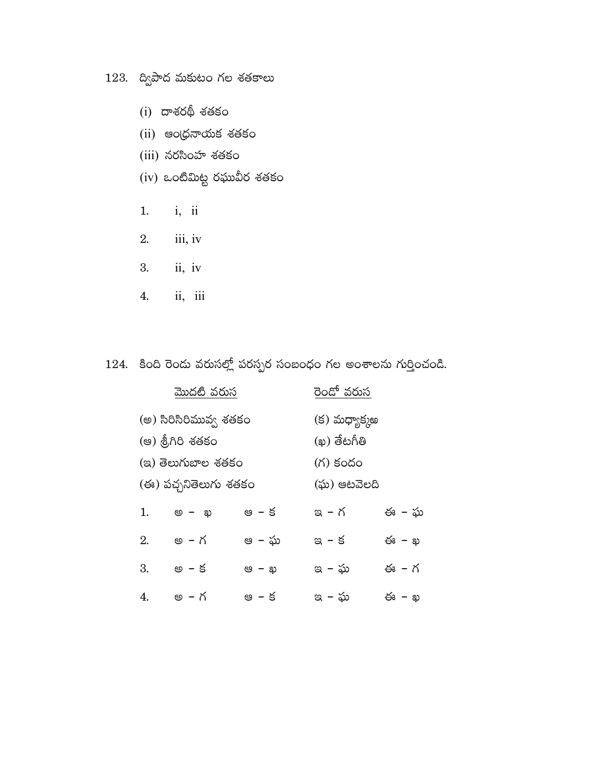## $123.$  ద్విపాద మకుటం గల శతకాలు

- $(i)$  దాశరథీ శతకం
- (ii) ఆంధ్రనాయక శతకం
- (iii) నరసింహ శతకం
- $(iv)$  ఒంటిమిట్ట రఘువీర శతకం
- $i, ii$  $1.$
- 2. iii, iv
- $ii, iv$ 3.
- ii, iii 4.

# $124.$  కింది రెండు వరుసల్లో పరస్పర సంబంధం గల అంశాలను గుర్తించండి.

| మొదటి వరుస             |                       |              | రెం <u>డో వరుస</u> |       |  |  |
|------------------------|-----------------------|--------------|--------------------|-------|--|--|
| (అ) సిరిసిరిమువ్వ శతకం |                       |              | (క) మధ్యాక్కఅ      |       |  |  |
|                        | (ఆ) శ్రీగిరి శతకం     |              | (ఖ) తేటగీతి        |       |  |  |
|                        | (ಇ) తెలుగుబాల శతకం    |              | (గ) కందం           |       |  |  |
|                        | (ఈ) పచ్చనితెలుగు శతకం |              | (ఘ) ఆటవెలది        |       |  |  |
| 1.                     | అ – ఖ                 | ఆ – క        | ఇ – గ              | ఈ – ఘ |  |  |
| 2.                     | అ – గ                 | ఆ – ఘ        | ఇ - క              | ఈ – ఖ |  |  |
| 3.                     | అ – క                 | ಆ <i>–</i> ಖ | ఇ – ఘ              | ఈ – గ |  |  |
| 4.                     | అ – గ                 | ఆ – క        | ఇ – ఘ              | ఈ – ఖ |  |  |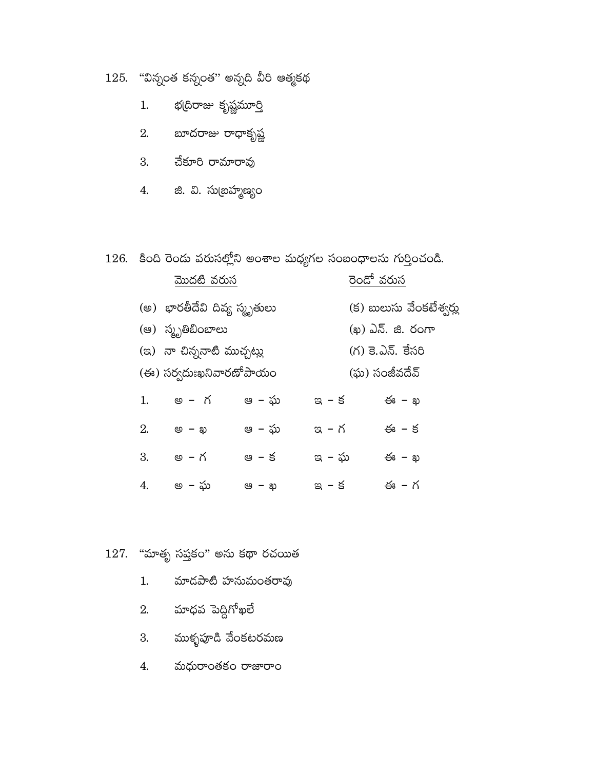$125.$  "విన్నంత కన్నంత" అన్నది వీరి ఆత్మకథ

- భ(దిరాజు కృష్ణమూ<u>ర</u>ి  $1.$
- 2. బూదరాజు రాధాకృష్ణ
- 3. చేకూరి రామారావు
- 4. జి. వి. సుబ్రహ్మణ్యం

 $126.$  కింది రెండు వరుసల్లోని అంశాల మధ్యగల సంబంధాలను గుర్తించండి.

| మొదటి వరుస                   |                   |       | రెండో వరుస               |                   |  |
|------------------------------|-------------------|-------|--------------------------|-------------------|--|
| (అ) భారతీదేవి దివ్య స్మృతులు |                   |       | (క) బులుసు వేంకటేశ్వర్లు |                   |  |
|                              | (ఆ) స్మృతిబింబాలు |       |                          | (ఖ) ఎన్. జి. రంగా |  |
| (ఇ) నా చిన్ననాటి ముచ్చట్లు   |                   |       | (గ) కె.ఎన్. కేసరి        |                   |  |
| (ఈ) సర్వదుఃఖనివారణోపాయం      |                   |       | (ఘ) సంజీవదేవ్            |                   |  |
| 1.                           | అ – గ             | ఆ – ఘ | ఇ – క                    | ఈ – ఖ             |  |
| 2.                           | <b>@ – ఖ</b>      | ఆ – ఘ | ఇ – గ                    | ఈ – క             |  |
| 3.                           | అ – గ             | ఆ – క | ఇ – ఘ                    | ఈ – ఖ             |  |
| 4.                           | అ – ఘ             | ఆ – ఖ | ఇ – క                    | ఈ – గ             |  |

# $127.$  "మాతృ సప్తకం" అను కథా రచయిత

- మాదపాటి హనుమంతరావు  $1.$
- 2. మాధవ పెద్దిగోఖలే
- 3. ముళ్ళపూడి వేంకటరమణ
- 4. మధురాంతకం రాజారాం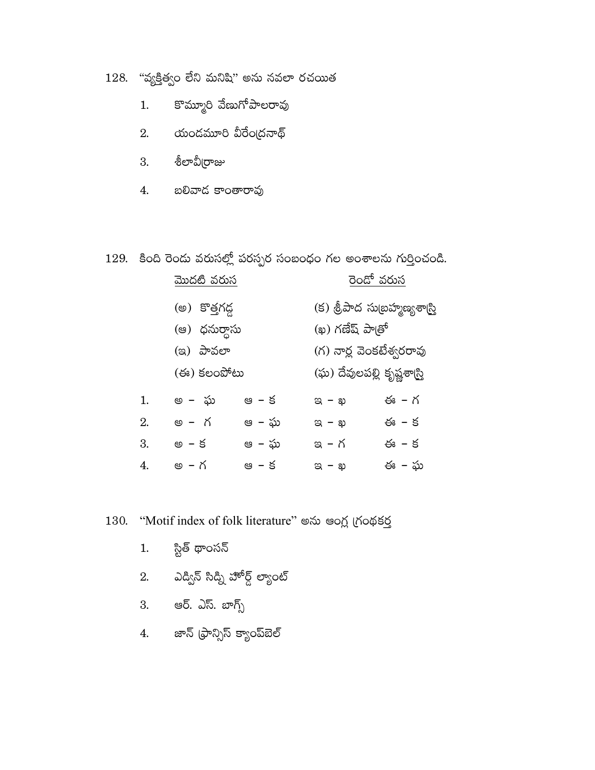128. "వ్యక్తిత్వం లేని మనిషి" అను నవలా రచయిత

- కొమ్మూరి వేణుగోపాలరావు  $1.$
- $2.$  యండమూరి వీరేంద్రనాథ్
- 3. శీలావీ[రాజు
- బలివాద కాంతారావు 4.

## $129.$  కింది రెండు వరుసల్లో పరస్పర సంబంధం గల అంశాలను గుర్తించండి.

|    | <u>మొదటి వరుస</u>                           |       | రెండో వరుస                                   |                               |  |
|----|---------------------------------------------|-------|----------------------------------------------|-------------------------------|--|
|    | (అ) కొత్తగడ్డ<br>(ఆ) ధనుర్దాసు<br>(ఇ) పావలా |       |                                              | (క) శ్రీపాద సుబ్రహ్మణ్యశాద్రి |  |
|    |                                             |       | (ఖ) గణేష్ పాత్రో<br>(గ) నార్ల వెంకటేశ్వరరావు |                               |  |
|    |                                             |       |                                              |                               |  |
|    | (ఈ) కలంపోటు                                 |       |                                              | (ఘ) దేవులపల్లి కృష్ణశాస్ర్తి  |  |
| 1. | అ – ఘ                                       | ఆ – క | ಇ – ఖ                                        | ఈ – గ                         |  |
| 2. | అ - గ                                       | ఆ – ఘ | ಇ – ఖ                                        | ఈ – క                         |  |
| 3. | అ – క                                       | ఆ – ఘ | ఇ – గ                                        | ఈ – క                         |  |
| 4. | అ – గ                                       | ఆ – క | <u>ಇ – ಖ</u>                                 | ఈ – ఘ                         |  |

#### "Motif index of folk literature" అను ఆంగ్ల గ్రంథకర్త 130.

- స్టిత్ థాంసన్  $1.$
- 2. ఎడ్విన్ సిడ్ని హోర్డ్ ల్యాంట్
- 3. ఆర్. ఎస్. బాగ్స్
- 4. జాన్ (ఫ్రాన్సిస్ క్యాంప్ఐెల్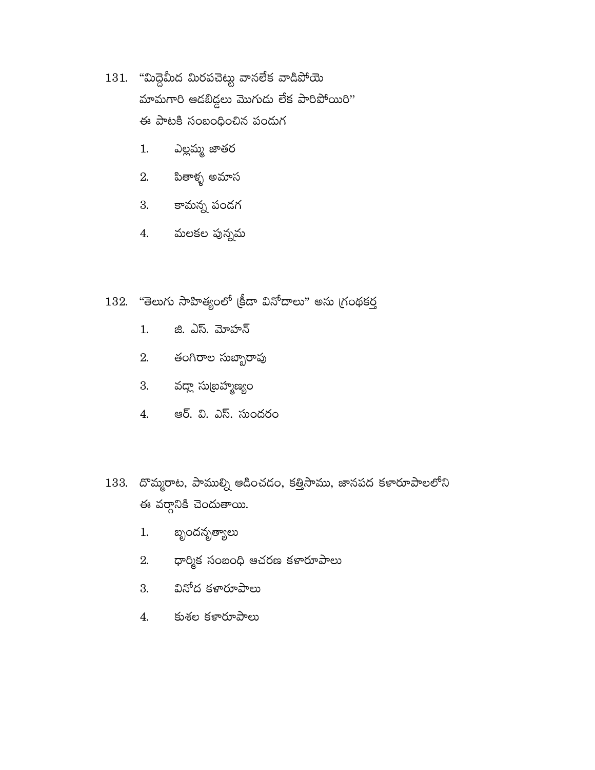- 131. "మిద్దెమీద మిరపచెట్టు వానలేక వాడిపోయె మామగారి ఆడబిడ్డలు మొగుడు లేక పారిపోయిరి" ఈ పాటకి సంబంధించిన పండుగ
	- ఎల్లమ్మ జాతర 1.
	- 2. పితాళ్ళ అమాస
	- కామన్న పండగ 3.
	- మలకల పున్నమ 4.
- "తెలుగు సాహిత్యంలో (కీడా వినోదాలు" అను గ్రంథకర్త 132.
	- జి. ఎస్. మోహన్  $1.$
	- 2. తంగిరాల సుబ్బారావు
	- వద్దా సుబ్రహ్మణ్యం 3.
	- ఆర్. వి. ఎస్. సుందరం 4.
- $133.$  దొమ్మరాట, పాముల్ని ఆడించడం, కత్తిసాము, జానపద కళారూపాలలోని ఈ వర్గానికి చెందుతాయి.
	- బ్బందనృత్యాలు  $1.$
	- ధార్మిక సంబంధి ఆచరణ కళారూపాలు 2.
	- వినోద కళారూపాలు 3.
	- 4. కుశల కళారూపాలు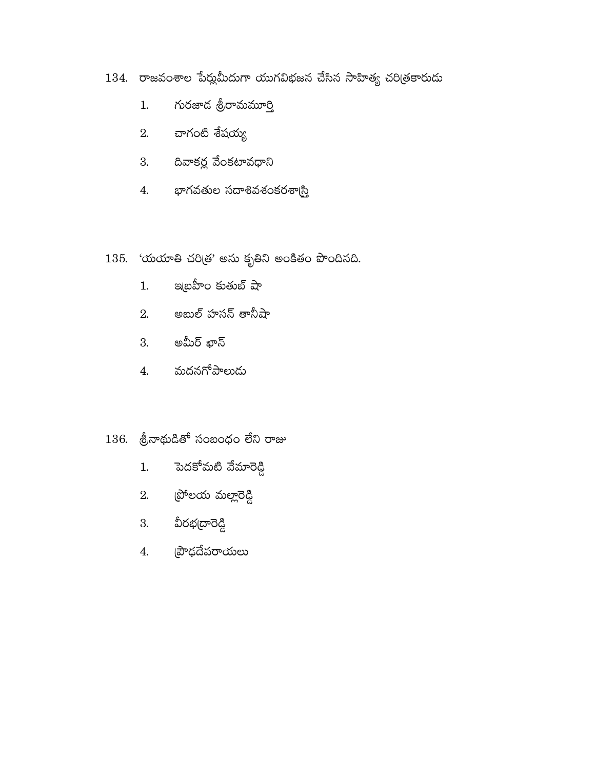- 134. రాజవంశాల పేర్లుమీదుగా యుగవిభజన చేసిన సాహిత్య చరిత్రకారుదు
	- గురజాద శ్రీరామమూర్తి  $1.$
	- 2. చాగంటి శేషయ్య
	- $3.$   $\alpha$ వాకర్ల వేంకటావధాని
	- భాగవతుల సదాశివశంకరశాస్ర్ 4.
- 135. 'యయాతి చరిత్ర' అను కృతిని అంకితం పొందినది.
	- ఇ(్రవీాం కుతుబ్ షా  $1.$
	- 2. అబుల్ హసన్ తానీషా
	- $3.$  అమీర్ ఖాన్
	- 4. మదనగోపాలుడు

### $136.$  ලි $\sigma$ තුරයීණ් సంబంధం లేని రాజు

- పెదకోమటి వేమారెడ్డి  $1.$
- 2.  $e^{i\theta}$ లయ మల్లారెడ్డి
- 3. వీరభద్రారెడ్డి
- 4. ప్రాధదేవరాయలు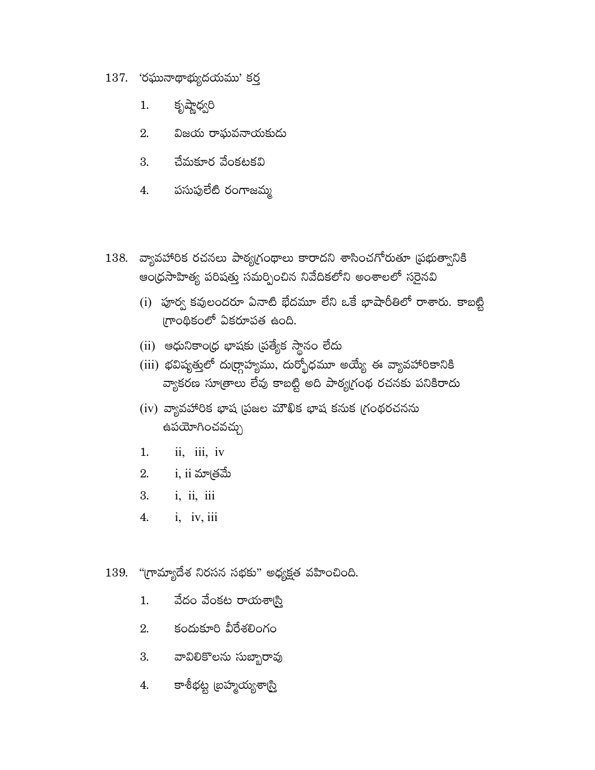- $137.$  'రఘునాథాభ్యుదయము' కర్త
	- కృష్ణాధ్వరి 1.
	- విజయ రాఘవనాయకుడు 2.
	- చేమకూర వేంకటకవి 3.
	- పసుపులేటి రంగాజమ్మ 4.
- 138. వ్యావహారిక రచనలు పాఠ్యగ్రంథాలు కారాదని శాసించగోరుతూ (పభుత్వానికి ఆంధ్రసాహిత్య పరిషత్తు సమర్పించిన నివేదికలోని అంశాలలో సరైనవి
	- $(i)$  పూర్వ కవులందరూ ఏనాటి భేదమూ లేని ఒకే భాషారీతిలో రాశారు. కాబట్టి గ్రాంథికంలో ఏకరూపత ఉంది.
	- $(ii)$  ఆధునికాం(ధ భాషకు (పత్యేక స్థానం లేదు
	- $(iii)$  భవిష్యత్తులో దు(ర్గాహ్యము, దుర్భోధమూ అయ్యే ఈ వ్యావహారికానికి వ్యాకరణ సూత్రాలు లేవు కాబట్టి అది పాఠ్యగ్రంథ రచనకు పనికిరాదు
	- $(iv)$  వ్యావహారిక భాష (పజల మౌఖిక భాష కనుక గ్రంథరచనను ఉపయోగించవచ్చు
	- ii, iii, iv 1.
	- 2. i, ii మాత్రమే
	- 3.  $i, ii, iii$
	- i, iv, iii 4.
- 139. "గ్రామ్యాదేశ నిరసన సభకు" అధ్యక్షత వహించింది.
	- వేదం వేంకట రాయశా్న  $1.$
	- కందుకూరి వీరేశలింగం 2.
	- వావిలికొలను సుబ్బారావు 3.
	- కాశీభట్ట (బహ్మయ్యశా(స్తి 4.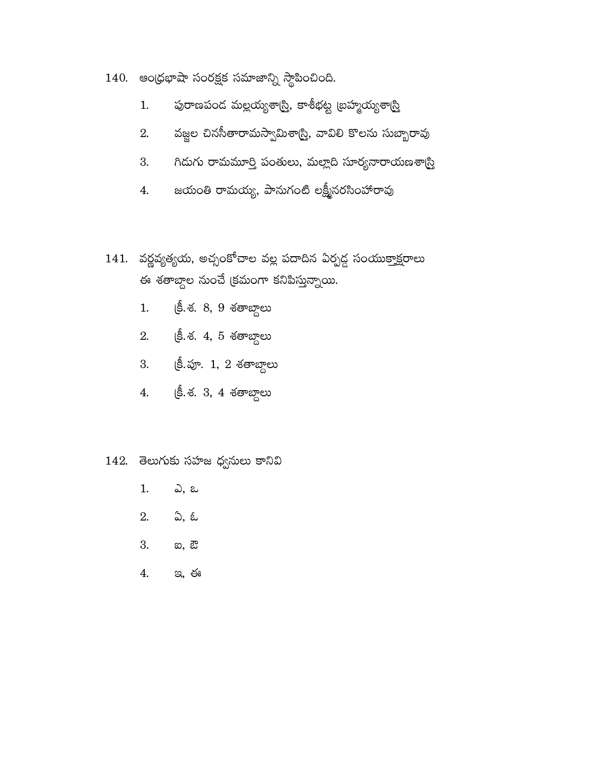- $140.$  ఆంధ్రభాషా సంరక్షక సమాజాన్ని స్థాపించింది.
	- పురాణపండ మల్లయ్యశాగ్రి, కాశీభట్ట (బహ్మయ్యశా<u>గ్రి</u>  $1.$
	- వజ్జల చినసీతారామస్వామిశార్చి, వావిలి కొలను సుబ్బారావు 2.
	- గిదుగు రామమూర్తి పంతులు, మల్లాది సూర్యనారాయణశాస్ర్ 3.
	- జయంతి రామయ్య, పానుగంటి లక్ష్మీనరసింహారావు 4.
- $141.$  వర్ణవృత్యయ, అచ్చంకోచాల వల్ల పదాదిన ఏర్పడ్డ సంయుక్తాక్షరాలు ఈ శతాబ్దాల నుంచే క్రమంగా కనిపిస్తున్నాయి.
	- క్రీ.శ. 8, 9 శతాబ్దాలు  $1.$
	- 2. (కీ. శ. 4, 5 శతాబ్దాలు
	- 3. (కీ.పూ. 1, 2 శతాబ్దాలు
	- క్రీ.శ. 3, 4 శతాబ్దాలు 4.

#### 142. తెలుగుకు సహజ ధ్వనులు కానివి

- 1. ఎ, ఒ
- ఏ, ఓ 2.
- 3. හ, *ඩ*
- 4. <u>ಇ, ఈ</u>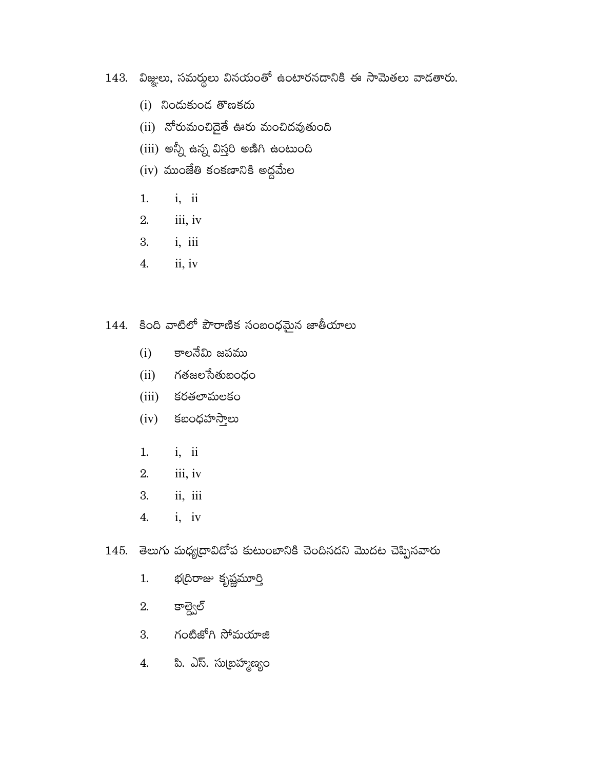- 143. విజ్ఞలు, సమర్థలు వినయంతో ఉంటారనదానికి ఈ సామెతలు వాడతారు.
	- $(i)$  నిందుకుంద తొణకదు
	- $(ii)$  నోరుమంచిదైతే ఊరు మంచిదవుతుంది
	- $(iii)$  అన్నీ ఉన్న విస్తరి అణిగి ఉంటుంది
	- $(iv)$  ముంజేతి కంకణానికి అద్దమేల
	- $i, ii$  $1.$
	- 2.  $iii, iv$
	- 3.  $i, iii$
	- $ii, iv$ 4.
- 144. కింది వాటిలో పౌరాణిక సంబంధమైన జాతీయాలు
	- కాలనేమి జపము  $(i)$
	- $(ii)$  గతజలసేతుబంధం
	- కరతలామలకం  $(iii)$
	- $(iv)$  కబంధహస్తాలు
	- $1.$  $i, ii$
	- $iii, iv$ 2.
	- $\overline{\textbf{ii}}, \overline{\textbf{iii}}$ 3.
	- $i, iv$ 4.
- 145. తెలుగు మధ్యదావిదోప కుటుంబానికి చెందినదని మొదట చెప్పినవారు
	- భద్రిరాజు కృష్ణమూర్తి 1.
	- కాల్వెల్ 2.
	- 3. గంటిజోగి సోమయాజి
	- పి. ఎస్. సుబ్రహ్మణ్యం 4.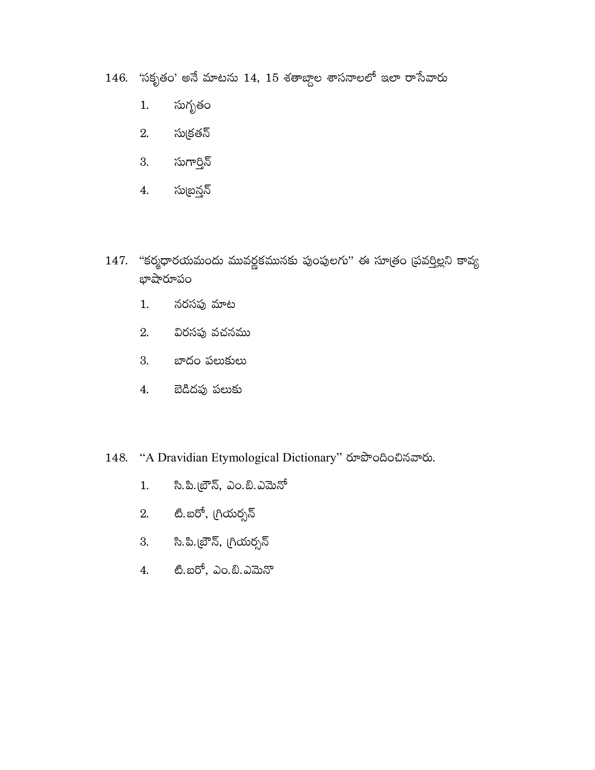- $146.$  'సకృతం' అనే మాటను  $14, 15$  శతాబ్దాల శాసనాలలో ఇలా రాసేవారు
	- సుగృతం  $1.$
	- 2. సుక్రతన్
	- 3. సుగార్తిన్
	- సుబ్రన్లన్ 4.
- 147. "కర్మధారయమందు మువర్ణకమునకు పుంపులగు" ఈ సూత్రం (పవర్తిల్లని కావ్య భాషారూపం
	- నరసపు మాట  $1.$
	- విరసపు వచనము 2.
	- 3. బాదం పలుకులు
	- 4. బెడిదపు పలుకు
- 148. "A Dravidian Etymological Dictionary" రూపొందించినవారు.
	- సి.పి.బ్రౌన్, ఎం.బి.ఎమెనో  $1.$
	- టి.బరో, గ్రియర్సన్ 2.
	- 3. సి.పి.బ్రౌన్, గ్రియర్సన్
	- 4. టి.బరో, ఎం.బి.ఎమెనొ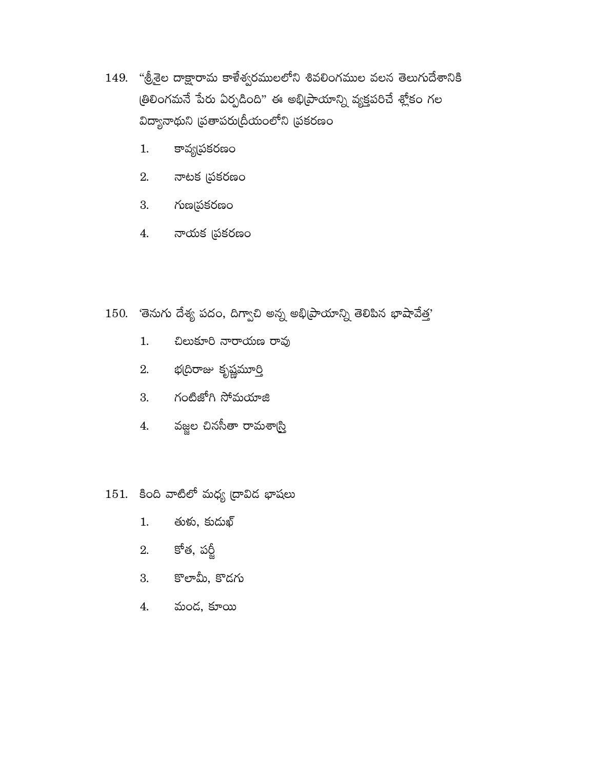- 149. "శ్రీశైల దాక్షారామ కాళేశ్వరములలోని శివలింగముల వలన తెలుగుదేశానికి త్రిలింగమనే పేరు ఏర్పడింది" ఈ అభి[పాయాన్ని వ్యక్తపరిచే శ్లోకం గల విద్యానాథుని (పతాపరు[దీయంలోని (పకరణం
	- కావ్య(పకరణం  $1.$
	- $2.$  నాటక (పకరణం
	- 3. గుణమనకరణం
	- 4. నాయక ప్రకరణం
- 150. 'తెనుగు దేశ్య పదం, దిగ్వాచి అన్న అభి[పాయాన్ని తెలిపిన భాషావేత్త'
	- చిలుకూరి నారాయణ రావు  $1.$
	- 2. భ(దిరాజు కృష్ణమూర్తి
	- 3. గంటిజోగి సోమయాజి
	- 4. వజ్జల చినసీతా రామశార్చి
- $151.$  కింది వాటిలో మధ్య ద్రావిద భాషలు
	- తుకు, కుదుఖ్  $1.$
	- 2. కోత, పర్టీ
	- 3. కొలామీ, కొదగు
	- 4. మండ, కూయి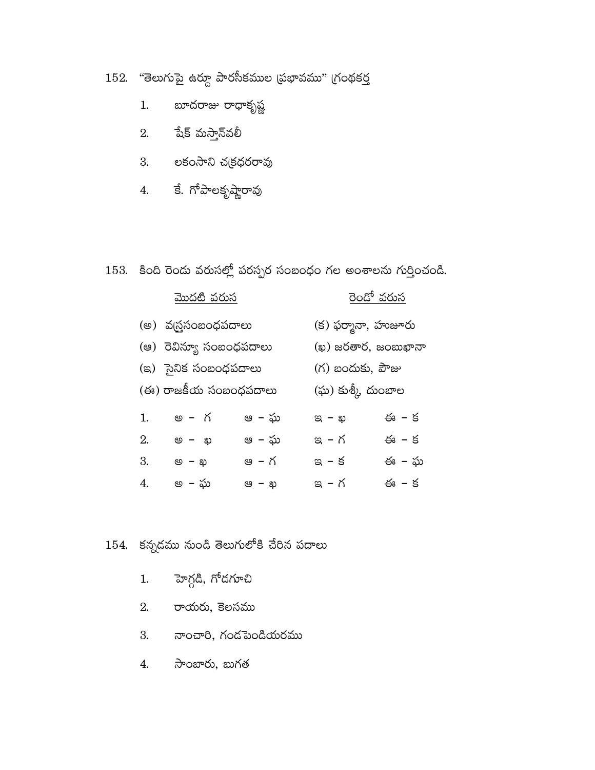$152.$  "తెలుగుపై ఉర్దూ పారసీకముల (పభావము" (గంథకర్త

- బూదరాజు రాధాకృష్ణ 1.
- $2.$  పేక్ మస్తాన్్వలీ
- 3. లకంసాని చక్రధరరావు
- 4. కే. గోపాలకృష్ణారావు

## 153. కింది రెండు వరుసల్లో పరస్పర సంబంధం గల అంశాలను గుర్తించండి.

| <u>మొదటి వరుస</u>       |                       |        |                     | <u>రెందో వరుస</u>   |  |  |
|-------------------------|-----------------------|--------|---------------------|---------------------|--|--|
| (అ) వద్రసంబంధపదాలు      |                       |        |                     | (క) ఫర్మానా, హుజూరు |  |  |
| (ఆ) రెవిన్యూ సంబంధపదాలు |                       |        | (ఖ) జరతార, జంబుఖానా |                     |  |  |
| (ఇ) ైసైనిక సంబంధపదాలు   |                       |        |                     | $($ గ) బందుకు, పౌజు |  |  |
|                         | (ఈ) రాజకీయ సంబంధపదాలు |        | (ఘ) కుశ్కీ దుంబాల   |                     |  |  |
| 1.                      | అ – గ                 | ఆ – ఘ  | $\alpha - \omega$   | ఈ – క               |  |  |
| 2.                      | ை – ல                 | ఆ  – ఘ | ఇ – గ               | ఈ – క               |  |  |
| 3.                      | ை <i>–</i> அ          | ఆ – గ  | ఇ – క               | ఈ – ఘ               |  |  |
| 4.                      | అ  – ఘ                | ෂ – ఖ  | ఇ – గ               | ఈ – క               |  |  |

# $154.$  కన్నడము నుండి తెలుగులోకి చేరిన పదాలు

- 1. హెగ్గడి, గోడగూచి
- 2. రాయరు, కెలసము
- 3. నాంచారి, గండపెండియరము
- సాంబారు, బుగత  $4.$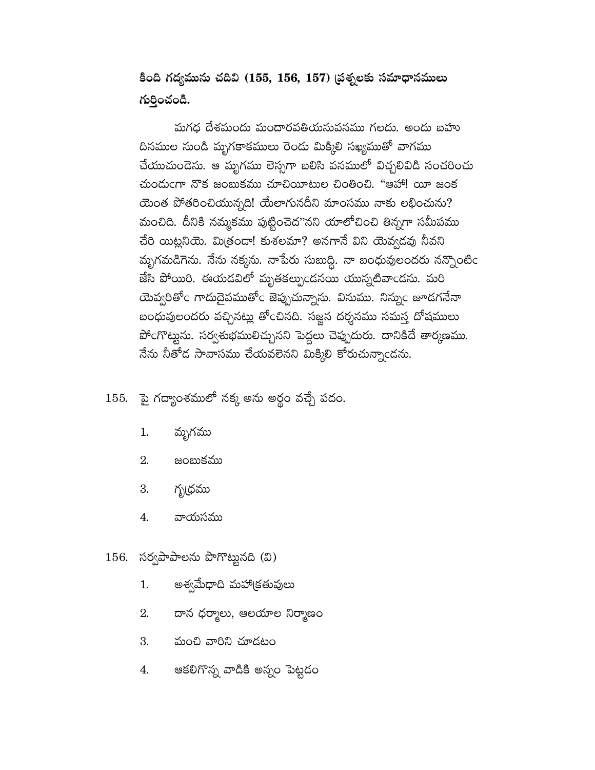కింది గద్యమును చదివి (155, 156, 157) డ్రశ్నలకు సమాధానములు గుర్తించండి.

మగధ దేశమందు మందారవతియనువనము గలదు. అందు బహు దినముల నుండి మృగకాకములు రెండు మిక్కిలి సఖ్యముతో వాగము చేయుచుందెను. ఆ మృగము లెస్సగా బలిసి వనములో విచ్చలివిడి సంచరించు చుందుంగా నొక జంబుకము చూచియీటుల చింతించి. "ఆహా! యీ జంక యెంత పోతరించియున్నది! యేలాగునదీని మాంసము నాకు లభించును? మంచిది. దీనికి నమ్మకము పుట్టించెద''నని యాలోచించి తిన్నగా సమీపము చేరి యిట్లనియె. మిత్రండా! కుశలమా? అనగానే విని యెవ్వదవు నీవని మృగమడిగెను. నేను నక్కను. నాపేరు సుబుద్ది. నా బంధువులందరు నన్నొంటిం జేసి పోయిరి. ఈయడవిలో మృతకల్పుండనయి యున్నటివాండను. మరి యెవ్వరితోం గాదుదైవముతోం జెప్పుచున్నాను. వినుము. నిన్నుం జూడగనేనా బంధువులందరు వచ్చినట్లు తోంచినది. సజ్జన దర్శనము సమస్త దోషములు పోంగొట్టును. సర్వశుభములిచ్చునని పెద్దలు చెప్పుదురు. దానికిదే తార్కణము. నేను నీతోడ సావాసము చేయవలెనని మిక్కిలి కోరుచున్నాండను.

## 155. పై గద్యాంశములో నక్క అను అర్థం వచ్చే పదం.

- $1.$ మృగము
- 2. జంబుకము
- గృధ్రము 3.
- 4. వాయసము

## $156.$  సర్వపాపాలను పొగొట్టునది (వి)

- అశ్వమేధాది మహాక్రతువులు  $1.$
- 2. దాన ధర్మాలు, ఆలయాల నిర్మాణం
- 3. మంచి వారిని చూడటం
- ఆకలిగొన్న వాడికి అన్నం పెట్టడం 4.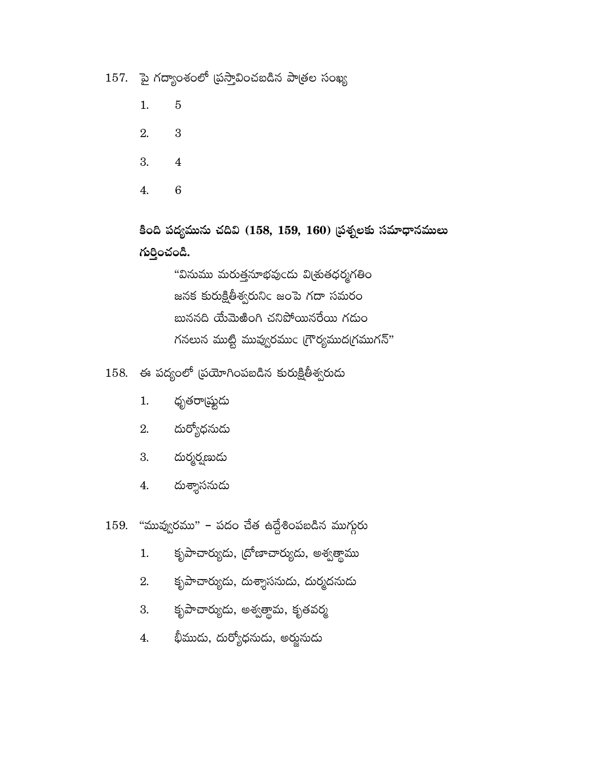$157.$  పై గద్యాంశంలో (పస్తావించబడిన పాత్రల సంఖ్య

- $\mathbf 5$  $1.$
- 2.  $\,3\,$
- 3.  $\overline{\mathbf{4}}$
- $\overline{6}$ 4.

కింది పద్యమును చదివి (158, 159, 160) ప్రశ్నలకు సమాధానములు గుర్తించండి.

> "వినుము మరుత్తనూభవుఁదు విౖతుతధర్మగతిం జనక కురుక్షితీశ్వరునిం జంపె గదా సమరం బుననది యేమెఱింగి చనిపోయినరేయి గదుం గనలున ముట్టి మువ్వురము $\mathsf{c}\,$  (గౌర్యముద(గముగన్"

 $158.$  ఈ పద్యంలో (పయోగింపబడిన కురుక్షితీశ్వరుదు

- $1.$ ధృతరా్షష్టుడు
- దుర్యోధనుదు 2.
- దుర్మర్షణుడు 3.
- దుశ్శాసనుడు  $4.$

"మువ్వురము" – పదం చేత ఉద్దేశింపబడిన ముగ్<mark>గు</mark>రు 159.

- కృపాచార్యుదు, (దోణాచార్యుదు, అశ్వత్థాము  $1.$
- కృపాచార్యుదు, దుశ్శాసనుడు, దుర్మదనుడు 2.
- కృపాచార్యుదు, అశ్వత్థామ, కృతవర్మ 3.
- భీముదు, దుర్యోధనుడు, అర్జునుడు 4.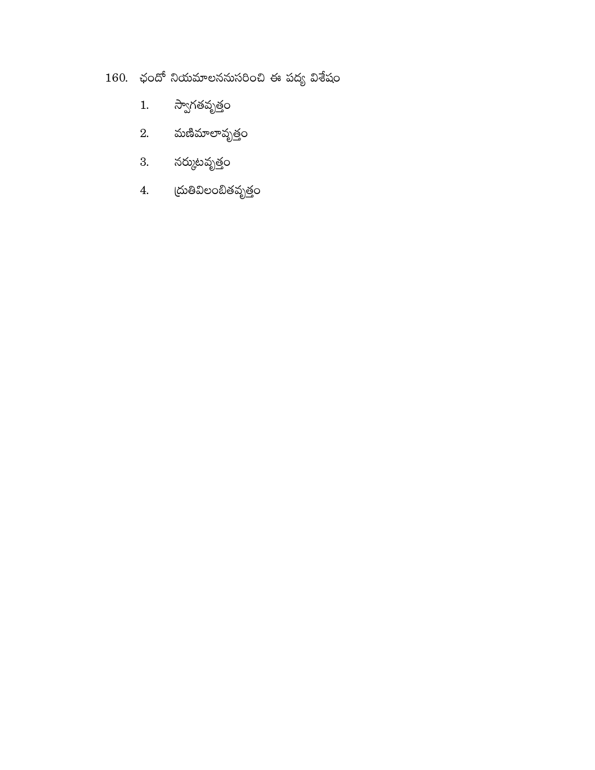# $160.$  ఛందో నియమాలననుసరించి ఈ పద్య విశేషం

- స్వాగతవృత్తం  $1.$
- $2.$  మణిమాలావృత్తం
- 3. నర్ముటవృత్తం
- 4. (దుతివిలంబితవృత్తం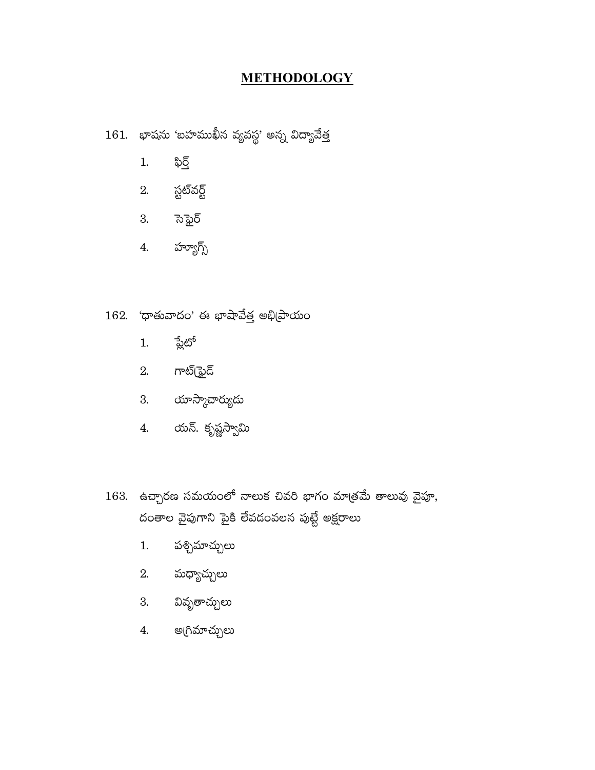#### **METHODOLOGY**

 $161.$  భాషను 'బహముఖీన వ్యవస్థ' అన్న విద్యావేత్త

- ఫిర్త్  $1.$
- 2. స్టట్వర్ట్
- 3. సె<u>ఫై</u>ర్
- 4. హ్యూగ్స్

### $162.$  'ధాతువాదం' ఈ భాషావేత్త అభి(పాయం

- <u> ప్లే</u>టో  $1.$
- $2.$  గాట్(ఫైద్
- 3. యాస్కాచార్యుడు
- 4. యన్. కృష్ణస్వామి
- $163.$  ఉచ్చారణ సమయంలో నాలుక చివరి భాగం మాత్రమే తాలువు వైపూ,

దంతాల వైపుగాని పైకి లేవదంవలన పుట్టే అక్షరాలు

- పశ్చిమాచ్చులు  $1.$
- 2. మధ్యాచ్చులు
- 3. వివృతాచ్చులు
- 4. అగ్రిమాచ్చులు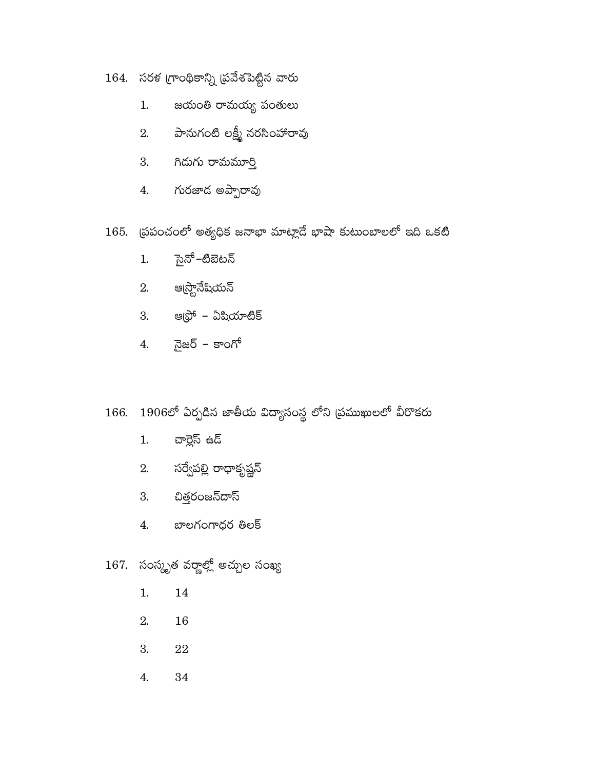- $164.$  సరళ గ్రాంథికాన్ని (ప్రవేశపెట్టిన వారు
	- జయంతి రామయ్య పంతులు  $1.$
	- 2. పానుగంటి లక్ష్మీ నరసింహారావు
	- 3. గిడుగు రామమూర్తి
	- 4. గురజాద అప్పారావు
- 165. ద్రపంచంలో అతృధిక జనాభా మాట్లాదే భాషా కుటుంబాలలో ఇది ఒకటి
	- సైనో–టిబెటన్  $1.$
	- 2. ఆధ్ర<mark>ొ</mark>నేషియన్
	- 3. ఆధ్రో ఏషియాటిక్
	- 4. నైజర్ కాంగో

# 166. 1906లో ఏర్పడిన జాతీయ విద్యాసంస్థ లోని (పముఖులలో వీరాకరు

- చార్లెస్ ఉద్  $1.$
- -
	- 2. సర్వేపల్లి రాధాకృష్ణన్
	- 3. చిత్తరంజన్ఐాస్
	- 4. బాలగంగాధర తిలక్

# 167. సంస్కృత వర్ణాల్లో అచ్చుల సంఖ్య

- $1.$ 14
- 2. 16
- ${\bf 22}$ 3.
- 4. 34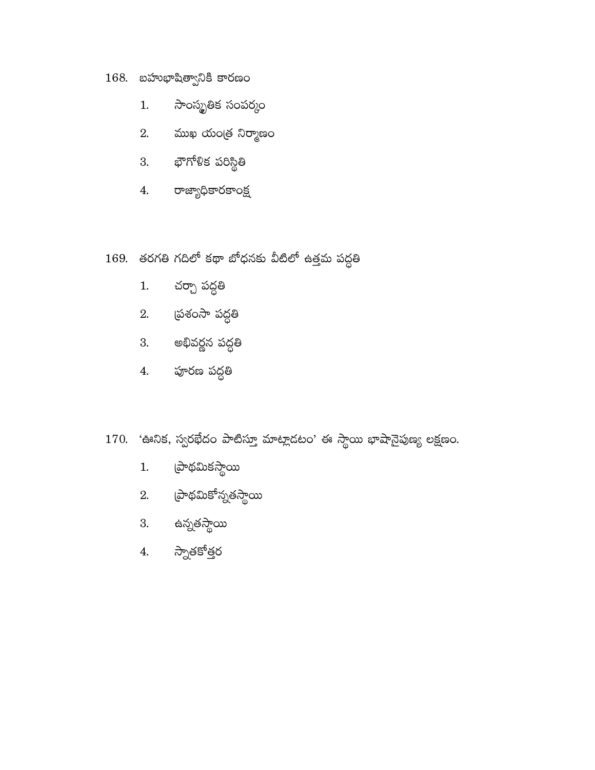# $168.$  బహుభాషిత్వానికి కారణం

- సాంస్మృతిక సంపర్కం  $1.$
- $2.$  ముఖ యంత్ర నిర్మాణం
- 3. భౌగోళిక పరిస్థితి
- 4. రాజ్యాధికారకాంక్ష
- 169. తరగతి గదిలో కథా బోధనకు వీటిలో ఉత్తమ పద్ధతి
	- చర్చా పద్ధతి  $1.$
	- 2. స్రశంసా పద్ధతి
	- 3. అభివర్ణన పద్ధతి
	- 4. పూరణ పద్ధతి
- 170. 'ఊనిక, స్వరఖేదం పాటిస్తూ మాట్లాడటం' ఈ స్థాయి భాషానైపుణ్య లక్షణం.
	- మ్రాథమికస్థాయి  $1.$
	- 2. (పాథమికోన్నతస్థాయి
	- 3. ఉన్నతస్థాయి
	- 4. స్నాతకోత్తర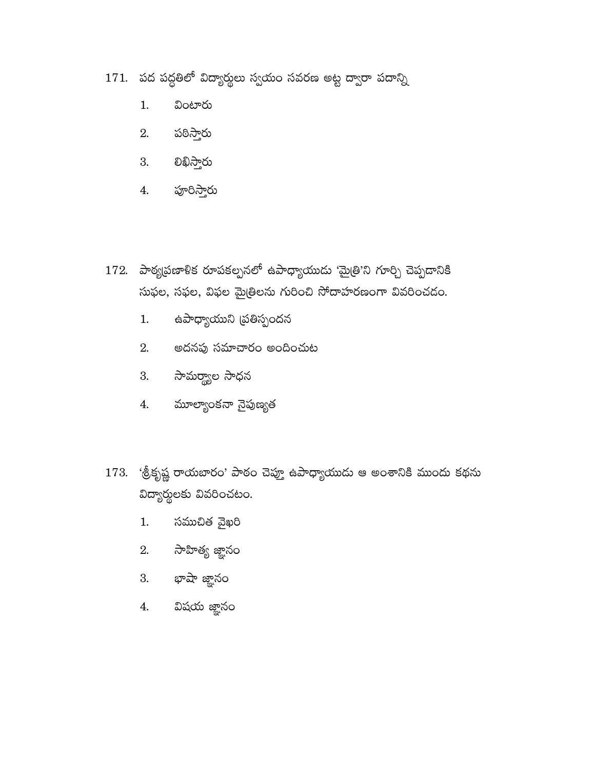- 171. పద పద్ధతిలో విద్యార్థులు స్వయం సవరణ అట్ట ద్వారా పదాన్ని
	- $1.$ వింటారు
	- పఠిస్తారు 2.
	- 3. වఖిస్తారు
	- 4. పూరిస్తారు
- 172. పాఠృభణాళిక రూపకల్పనలో ఉపాధ్యాయుడు 'మైత్రి'ని గూర్చి చెప్పదానికి సుఫల, సఫల, విఫల మైత్రిలను గురించి సోదాహరణంగా వివరించడం.
	- ఉపాధ్యాయుని (పతిస్పందన 1.
	- 2. అదనపు సమాచారం అందించుట
	- 3. సామర్థ్యాల సాధన
	- 4. మూల్యాంకనా నైపుణ్యత
- 173. 'శ్రీకృష్ణ రాయబారం' పాఠం చెప్తూ ఉపాధ్యాయుడు ఆ అంశానికి ముందు కథను విద్యార్థులకు వివరించటం.
	- సముచిత వైఖరి  $1.$
	- 2. సాహిత్య జ్ఞానం
	- 3. భాషా జ్ఞానం
	- 4. విషయ జ్ఞానం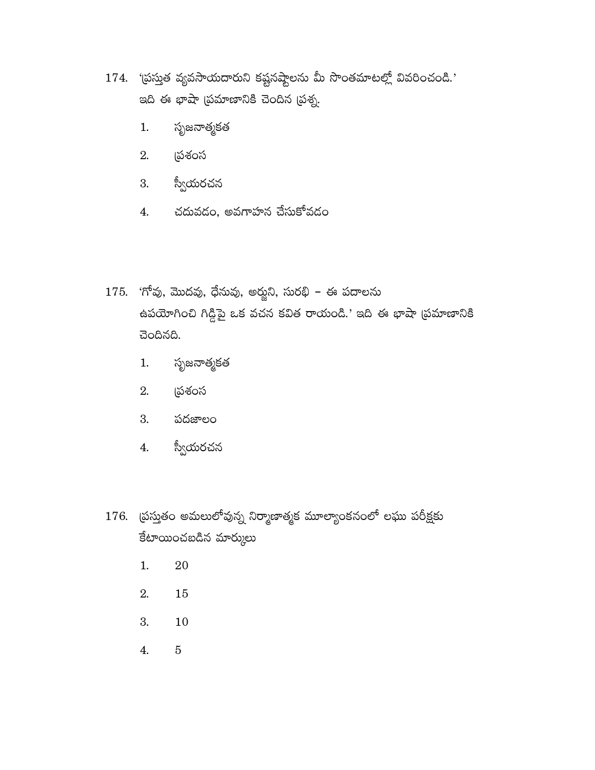- $174$ . 'ప్రస్తుత వ్యవసాయదారుని కష్టనష్టాలను మీ సొంతమాటల్లో వివరించండి.' ఇది ఈ భాషా (పమాణానికి చెందిన (పశ్న.
	- సృజనాత్మకత 1.
	- 2. (పశంస
	- స్వీయరచన 3.
	- చదువడం, అవగాహన చేసుకోవడం 4.
- $175.$  'గోవు, మొదవు, ధేనువు, అర్జుని, సురభి ఈ పదాలను ఉపయోగించి గిడ్డిపై ఒక వచన కవిత రాయండి.' ఇది ఈ భాషా (ప్రమాణానికి చెందినది.
	- సృజనాత్మకత  $1.$
	- 2. <u>(</u>పశంస
	- 3. పదజాలం
	- స్వీయరచన 4.
- $176$ . ప్రస్తుతం అమలులోవున్న నిర్మాణాత్మక మూల్యాంకనంలో లఘు పరీక్షకు కేటాయించబడిన మార్కులు
	- $1.$  $20\,$
	- 2. 15
	- 3. 10
	- $4.$  $\bf 5$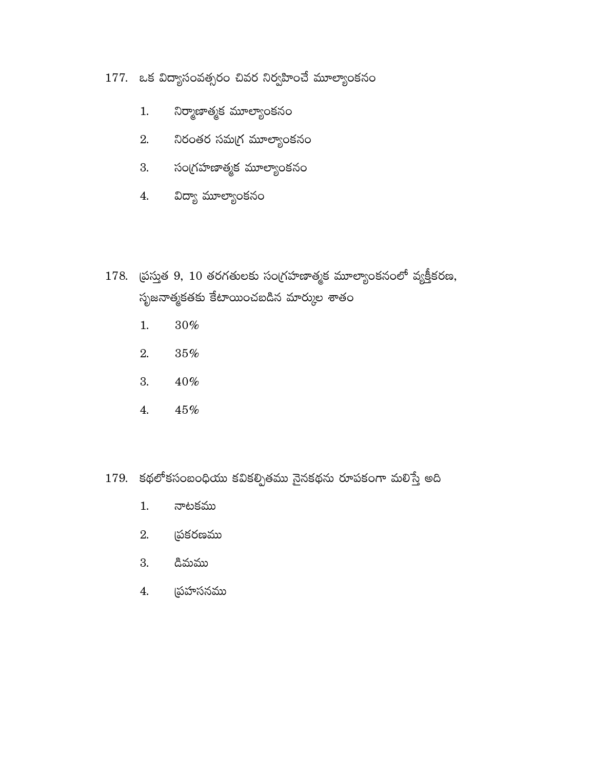## 177. ఒక విద్యాసంవత్సరం చివర నిర్వహించే మూల్యాంకనం

- నిర్మాణాత్మక మూల్యాంకనం  $1.$
- నిరంతర సమగ్ర మూల్యాంకనం 2.
- సంగ్రహణాత్మక మూల్యాంకన<mark>ం</mark> 3.
- $4.$ విద్యా మూల్యాంకనం
- $178.$  ద్రుస్తుత 9,  $10$  తరగతులకు సంగ్రహణాత్మక మూల్యాంకనంలో వ్యక్తీకరణ, సృజనాత్మకతకు కేటాయించబడిన మార్కుల శాతం
	- $30\%$  $1.$
	- 2.  $35\%$
	- 40% 3.
	- $45\%$ 4.
- 179. కథలోకసంబంధియు కవికల్పితము నైనకథను రూపకంగా మలిస్తే అది
	- $1.$ నాటకము
	- యకరణము 2.
	- డిమము 3.
	- ద్రహసనమ<u>ు</u>  $4.$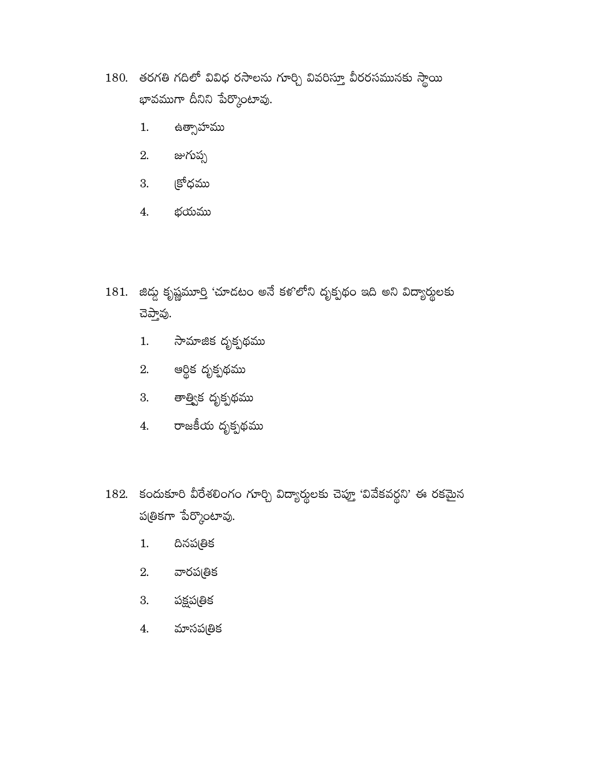- 180. తరగతి గదిలో వివిధ రసాలను గూర్చి వివరిస్తూ వీరరసమునకు స్థాయి భావముగా దీనిని పేర్కొంటావు.
	- ఉ<mark>త్సాహము</mark> 1.
	- జుగుప్స 2.
	- క్రోధము 3.
	- భయము 4.
- $181.$  జిద్దు కృష్ణమూర్తి 'చూడటం అనే కళ'లోని దృక్పథం ఇది అని విద్యార్థులకు చెప్తావు.
	- సామాజిక దృక్పథమ<mark>ు</mark>  $1.$
	- 2. ఆర్థిక దృక్పథము
	- 3. తాత్విక దృక్పథము
	- 4. రాజకీయ దృక్పథము
- 182. కందుకూరి వీరేశలింగం గూర్చి విద్యార్థులకు చెప్తూ 'వివేకవర్ధని' ఈ రకమైన పత్ికగా పేర్కొంటావు.
	- దినప్రతిక  $1.$
	- వారప(తిక 2.
	- 3. పక్షపత్రిక
	- మాసపత్రిక 4.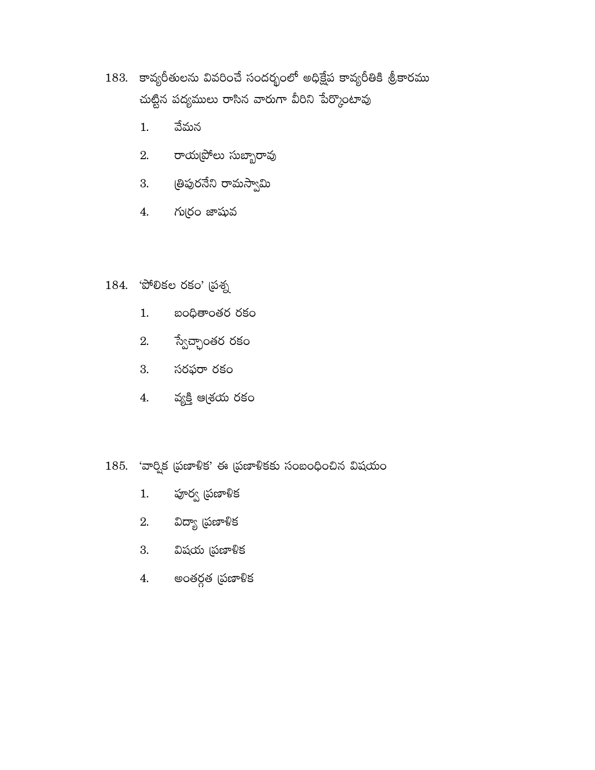- 183. కావ్యరీతులను వివరించే సందర్భంలో అధిక్షేప కావ్యరీతికి శ్రీకారము చుట్టిన పద్యములు రాసిన వారుగా వీరిని పేర్కొంటావు
	- వేమన  $1.$
	- 2. రాయ[పోలు సుబ్బారావు
	- 3. త్రిపురనేని రామస్వామి
	- గుర్రం జాషువ 4.
- 184. 'పోలికల రకం' (పశ్న
	- బంధితాంతర రకం  $1.$
	- స్వేచ్ఛాంతర రకం 2.
	- 3. సరఫరా రకం
	- వ్యక్తి ఆశ్రయ రకం 4.
- $185.$  'వార్షిక (పణాళిక' ఈ (పణాళికకు సంబంధించిన విషయం
	- పూర్వ (పణాళిక  $1.$
	- విద్యా (పణాళిక 2.
	- 3. విషయ (పణాళిక
	- అంతర్గత (పణాళిక  $4.$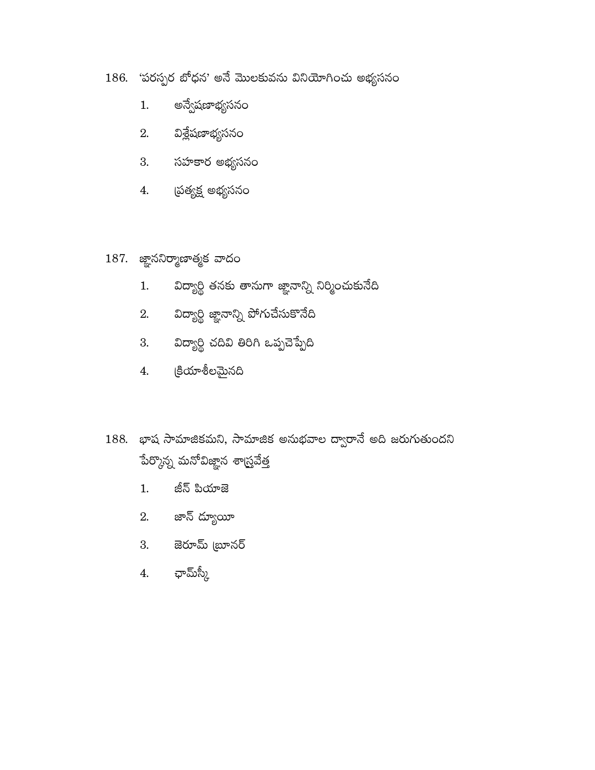- 186. 'పరస్పర బోధన' అనే మొలకువను వినియోగించు అభ్యసనం
	- అన్వేషణాభ్యసనం  $1.$
	- $2.$  విశ్లేషణాభ్యసనం
	- 3. సహకార అభ్యసనం
	- 4. (పత్యక్ష అభ్యసనం
- $187.$  జ్ఞాననిర్మాణాత్మక వాదం
	- విద్యార్థి తనకు తానుగా జ్ఞానాన్ని నిర్మించుకునేది  $1.$
	- 2. విద్యార్థి జ్ఞానాన్ని పోగుచేసుకొనేది
	- 3. విద్యార్థి చదివి తిరిగి ఒప్పచెప్పేది
	- క్రియాశీలమైనది 4.
- 188. భాష సామాజికమని, సామాజిక అనుభవాల ద్వారానే అది జరుగుతుందని పేర్కొన్న మనోవిజ్ఞాన శా<mark>స్త్ర</mark>వేత్త
	- జీన్ పియాజె  $1.$
	- 2. జాన్ ద్యూయీ
	- 3. జెరూమ్ ౠనర్
	- 4. భామ్స్కీ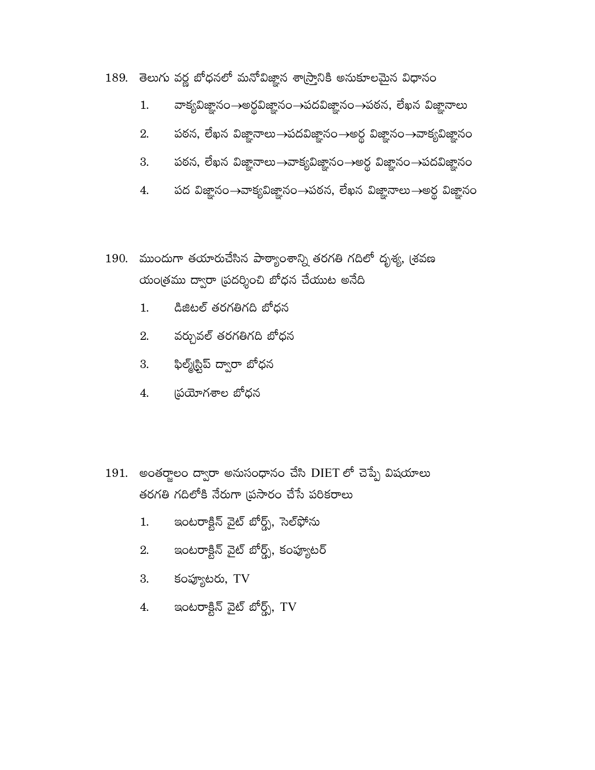- 189. తెలుగు వర్ణ బోధనలో మనోవిజ్ఞాన శాస్ర్టానికి అనుకూలమైన విధానం
	- వాక్యవిజ్ఞానం→అర్థవిజ్ఞానం→పదవిజ్ఞానం→పఠన, లేఖన విజ్ఞానాలు 1.
	- పఠన, లేఖన విజ్ఞానాలు $\rightarrow$ పదవిజ్ఞానం $\rightarrow$ అర్థ విజ్ఞానం $\rightarrow$ వాక్యవిజ్ఞానం 2.
	- పఠన, లేఖన విజ్ఞానాలు $\rightarrow$ వాక్యవిజ్ఞానం $\rightarrow$ అర్థ విజ్ఞానం $\rightarrow$ పదవిజ్ఞానం 3.
	- పద విజ్ఞానం→వాకృవిజ్ఞానం→పఠన, లేఖన విజ్ఞానాలు→అర్థ విజ్ఞానం 4.
- 190. ముందుగా తయారుచేసిన పాఠ్యాంశాన్ని తరగతి గదిలో దృశ్య, <sub>(</sub>శవణ యంత్రము ద్వారా (పదర్శించి బోధన చేయుట అనేది
	- డిజిటల్ తరగతిగది బోధన  $1.$
	- వర్చువల్ తరగతిగది బోధన 2.
	- ఫిల్మ్(స్టిప్ ద్వారా బోధన 3.
	- స్రయోగశాల బోధన  $\overline{4}$ .
- 191. అంతర్జాలం ద్వారా అనుసంధానం చేసి DIET లో చెప్పే విషయాలు తరగతి గదిలోకి నేరుగా (పసారం చేసే పరికరాలు
	- ఇంటరాక్టిన్ వైట్ బోర్డ్స్, సెల్ఫోను  $1.$
	- ఇంటరాక్టిన్ వైట్ బోర్డ్స్, కంప్యూటర్ 2.
	- కంప్యూటరు, TV 3.
	- ఇంటరాక్టిన్ వైట్ బోర్డ్స్,  $\operatorname{TV}$ 4.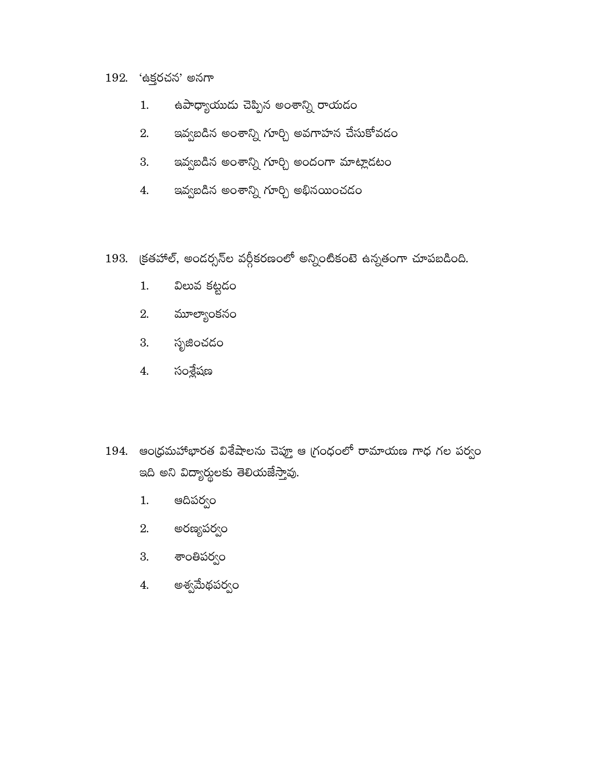## 192. 'ఉక్తరచన' అనగా

- ఉపాధ్యాయుడు చెప్పిన అంశాన్ని రాయడం  $1.$
- ఇవ్వబడిన అంశాన్ని గూర్చి అవగాహన చేసుకోవదం 2.
- ఇవ్వబడిన అంశాన్ని గూర్చి అందంగా మాట్లాదటం 3.
- ఇవ్వబడిన అంశాన్ని గూర్చి అభినయించడం 4.
- 193. క్రతహాల్, అందర్సన్ల వర్గీకరణంలో అన్నింటికంటె ఉన్నతంగా చూపబడింది.
	- విలువ కట్టడ<mark>ం</mark>  $1.$
	- మూల్యాంకనం 2.
	- సృజించడం 3.
	- సంశ్లేషణ 4.
- $194.$  ఆంధ్రమహాాభారత విశేషాలను చెప్తూ ఆ గ్రంధంలో రామాయణ గాధ గల పర్వం ఇది అని విద్యార్థులకు తెలియజేస్తావు.
	- ఆదిపర్వం  $1.$
	- అరణ్యపర్వం 2.
	- 3. శాంతిపర్వం
	- అశ్వమేథపర్వం 4.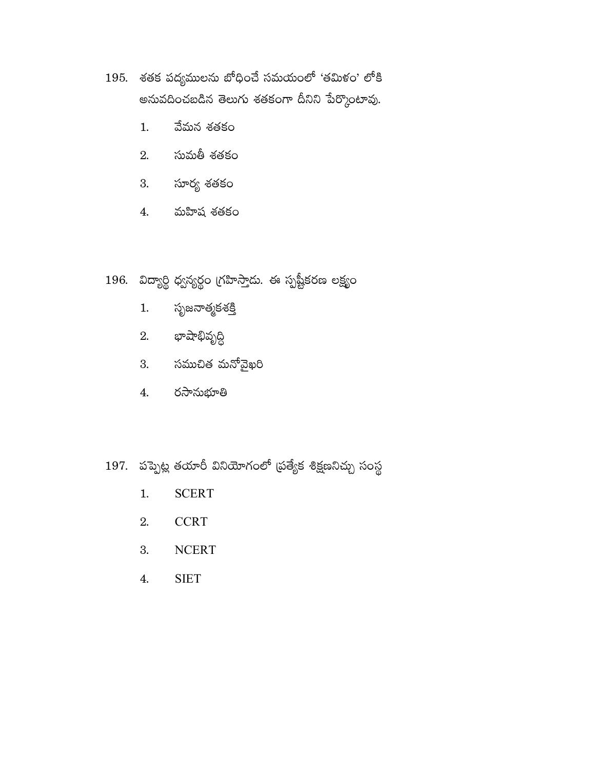- 195. శతక పద్యములను బోధించే సమయంలో 'తమిళం' లోకి అనువదించబడిన తెలుగు శతకంగా దీనిని పేర్కొంటావు.
	- వేమన శతకం  $1.$
	- సుమతీ శతకం 2.
	- 3. సూర్య శతకం
	- మహిష శతకం  $4.$

## 196. విద్యార్థి ధ్వన్యర్థం గ్రహిస్తాదు. ఈ స్పష్టీకరణ లక్ష్యం

- సృజనాత్మకశ<u>క</u>ి  $1.$
- 2. భాషాభివృద్ధి
- 3. సముచిత మనోవైఖరి
- రసానుభూతి 4.
- 197. పప్పెట్ల తయారీ వినియోగంలో (పత్యేక శిక్షణనిచ్చు సంస్థ
	- **SCERT**  $1.$
	- **CCRT** 2.
	- 3. **NCERT**
	- **SIET**  $\overline{4}$ .